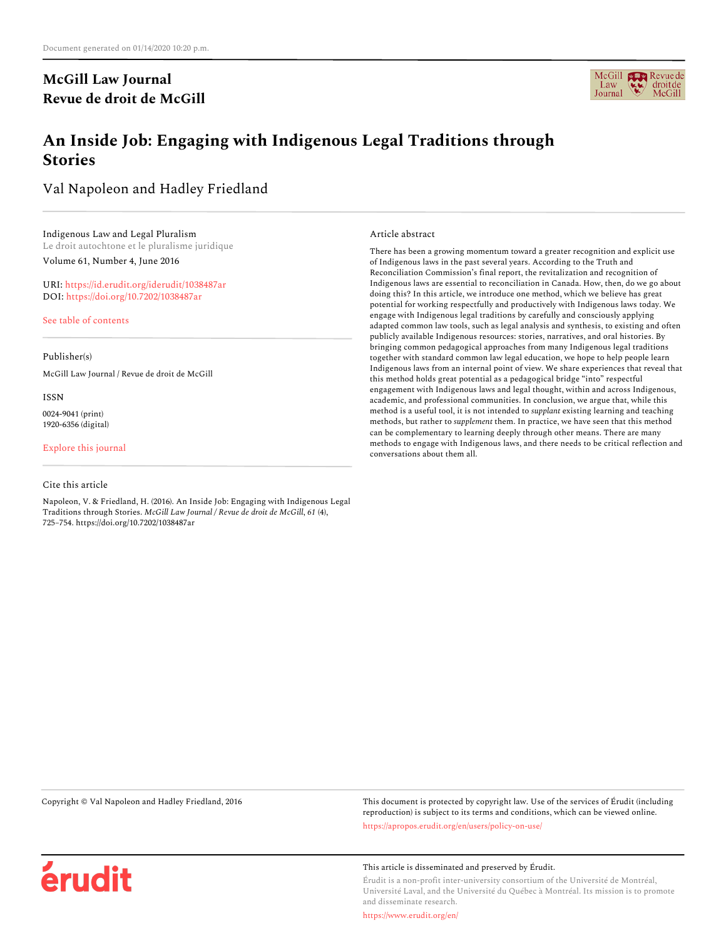# **McGill Law Journal Revue de droit de McGill**



# **An Inside Job: Engaging with Indigenous Legal Traditions through Stories**

Val Napoleon and Hadley Friedland

Indigenous Law and Legal Pluralism Le droit autochtone et le pluralisme juridique Volume 61, Number 4, June 2016

URI: <https://id.erudit.org/iderudit/1038487ar> DOI: <https://doi.org/10.7202/1038487ar>

[See table of contents](https://www.erudit.org/en/journals/mlj/2016-v61-n4-mlj02883/)

Publisher(s)

McGill Law Journal / Revue de droit de McGill

ISSN

0024-9041 (print) 1920-6356 (digital)

[Explore this journal](https://www.erudit.org/en/journals/mlj/)

Cite this article

Napoleon, V. & Friedland, H. (2016). An Inside Job: Engaging with Indigenous Legal Traditions through Stories. *McGill Law Journal / Revue de droit de McGill*, *61* (4), 725–754. https://doi.org/10.7202/1038487ar

Article abstract

There has been a growing momentum toward a greater recognition and explicit use of Indigenous laws in the past several years. According to the Truth and Reconciliation Commission's final report, the revitalization and recognition of Indigenous laws are essential to reconciliation in Canada. How, then, do we go about doing this? In this article, we introduce one method, which we believe has great potential for working respectfully and productively with Indigenous laws today. We engage with Indigenous legal traditions by carefully and consciously applying adapted common law tools, such as legal analysis and synthesis, to existing and often publicly available Indigenous resources: stories, narratives, and oral histories. By bringing common pedagogical approaches from many Indigenous legal traditions together with standard common law legal education, we hope to help people learn Indigenous laws from an internal point of view. We share experiences that reveal that this method holds great potential as a pedagogical bridge "into" respectful engagement with Indigenous laws and legal thought, within and across Indigenous, academic, and professional communities. In conclusion, we argue that, while this method is a useful tool, it is not intended to *supplant* existing learning and teaching methods, but rather to *supplement* them. In practice, we have seen that this method can be complementary to learning deeply through other means. There are many methods to engage with Indigenous laws, and there needs to be critical reflection and conversations about them all.

érudit

Copyright © Val Napoleon and Hadley Friedland, 2016 This document is protected by copyright law. Use of the services of Érudit (including reproduction) is subject to its terms and conditions, which can be viewed online. <https://apropos.erudit.org/en/users/policy-on-use/>

This article is disseminated and preserved by Érudit.

Érudit is a non-profit inter-university consortium of the Université de Montréal, Université Laval, and the Université du Québec à Montréal. Its mission is to promote and disseminate research.

<https://www.erudit.org/en/>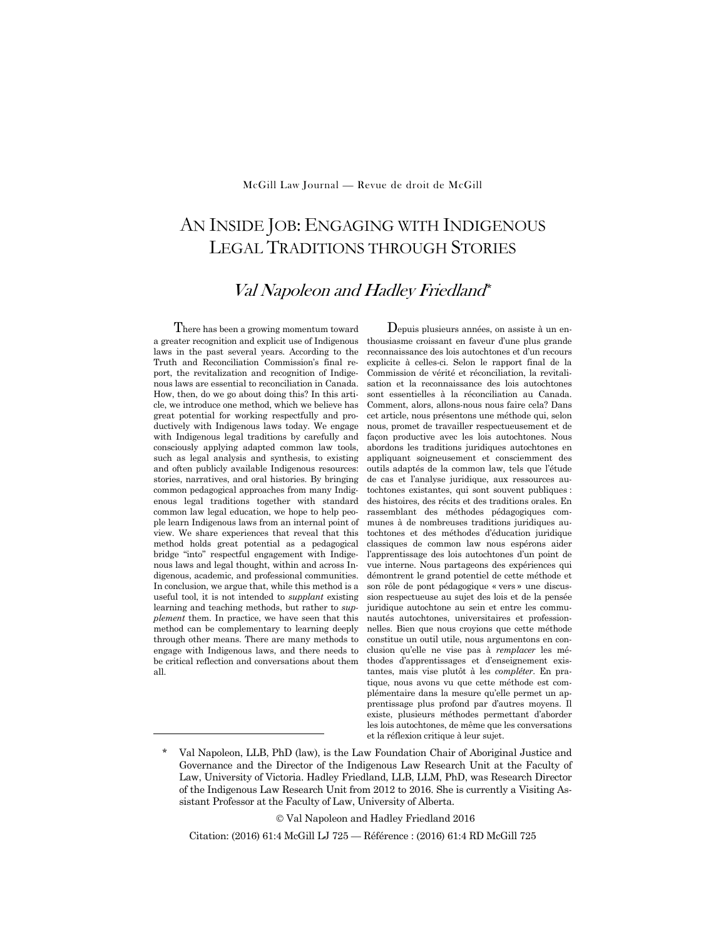# AN INSIDE JOB: ENGAGING WITH INDIGENOUS LEGAL TRADITIONS THROUGH STORIES

# Val Napoleon and Hadley Friedland\*

There has been a growing momentum toward a greater recognition and explicit use of Indigenous laws in the past several years. According to the Truth and Reconciliation Commission's final report, the revitalization and recognition of Indigenous laws are essential to reconciliation in Canada. How, then, do we go about doing this? In this article, we introduce one method, which we believe has great potential for working respectfully and productively with Indigenous laws today. We engage with Indigenous legal traditions by carefully and consciously applying adapted common law tools, such as legal analysis and synthesis, to existing and often publicly available Indigenous resources: stories, narratives, and oral histories. By bringing common pedagogical approaches from many Indigenous legal traditions together with standard common law legal education, we hope to help people learn Indigenous laws from an internal point of view. We share experiences that reveal that this method holds great potential as a pedagogical bridge "into" respectful engagement with Indigenous laws and legal thought, within and across Indigenous, academic, and professional communities. In conclusion, we argue that, while this method is a useful tool, it is not intended to *supplant* existing learning and teaching methods, but rather to *supplement* them. In practice, we have seen that this method can be complementary to learning deeply through other means. There are many methods to engage with Indigenous laws, and there needs to be critical reflection and conversations about them all.

 $\overline{a}$ 

Depuis plusieurs années, on assiste à un enthousiasme croissant en faveur d'une plus grande reconnaissance des lois autochtones et d'un recours explicite à celles-ci. Selon le rapport final de la Commission de vérité et réconciliation, la revitalisation et la reconnaissance des lois autochtones sont essentielles à la réconciliation au Canada. Comment, alors, allons-nous nous faire cela? Dans cet article, nous présentons une méthode qui, selon nous, promet de travailler respectueusement et de façon productive avec les lois autochtones. Nous abordons les traditions juridiques autochtones en appliquant soigneusement et consciemment des outils adaptés de la common law, tels que l'étude de cas et l'analyse juridique, aux ressources autochtones existantes, qui sont souvent publiques : des histoires, des récits et des traditions orales. En rassemblant des méthodes pédagogiques communes à de nombreuses traditions juridiques autochtones et des méthodes d'éducation juridique classiques de common law nous espérons aider l'apprentissage des lois autochtones d'un point de vue interne. Nous partageons des expériences qui démontrent le grand potentiel de cette méthode et son rôle de pont pédagogique « vers » une discussion respectueuse au sujet des lois et de la pensée juridique autochtone au sein et entre les communautés autochtones, universitaires et professionnelles. Bien que nous croyions que cette méthode constitue un outil utile, nous argumentons en conclusion qu'elle ne vise pas à *remplacer* les méthodes d'apprentissages et d'enseignement existantes, mais vise plutôt à les *compléter*. En pratique, nous avons vu que cette méthode est complémentaire dans la mesure qu'elle permet un apprentissage plus profond par d'autres moyens. Il existe, plusieurs méthodes permettant d'aborder les lois autochtones, de même que les conversations et la réflexion critique à leur sujet.

© Val Napoleon and Hadley Friedland 2016

Citation: (2016) 61:4 McGill LJ 725 — Référence : (2016) 61:4 RD McGill 725

Val Napoleon, LLB, PhD (law), is the Law Foundation Chair of Aboriginal Justice and Governance and the Director of the Indigenous Law Research Unit at the Faculty of Law, University of Victoria. Hadley Friedland, LLB, LLM, PhD, was Research Director of the Indigenous Law Research Unit from 2012 to 2016. She is currently a Visiting Assistant Professor at the Faculty of Law, University of Alberta.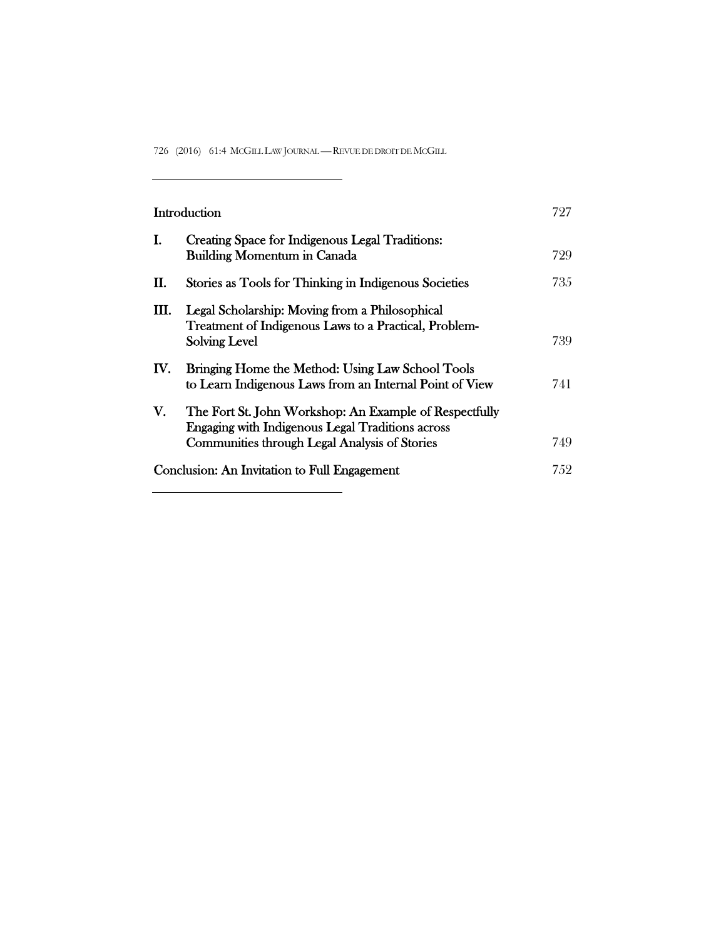726 (2016) 61:4 MCGILL LAW JOURNAL —REVUE DE DROIT DE MCGILL

 $\overline{\phantom{0}}$ 

<u> 1989 - Johann Barn, mars ann an t-Amhain Aonaich an t-Aonaich an t-Aonaich an t-Aonaich an t-Aonaich an t-Aon</u>

| Introduction                                        |                                                                                                                                                                           | 727  |
|-----------------------------------------------------|---------------------------------------------------------------------------------------------------------------------------------------------------------------------------|------|
| I.                                                  | Creating Space for Indigenous Legal Traditions:<br><b>Building Momentum in Canada</b>                                                                                     | 729  |
| П.                                                  | Stories as Tools for Thinking in Indigenous Societies                                                                                                                     | 735  |
| Ш.                                                  | Legal Scholarship: Moving from a Philosophical<br>Treatment of Indigenous Laws to a Practical, Problem-<br><b>Solving Level</b>                                           | 739  |
| $\mathbf{IV}_{\text{-}}$                            | Bringing Home the Method: Using Law School Tools<br>to Learn Indigenous Laws from an Internal Point of View                                                               | 741  |
| V.                                                  | The Fort St. John Workshop: An Example of Respectfully<br><b>Engaging with Indigenous Legal Traditions across</b><br><b>Communities through Legal Analysis of Stories</b> | 749  |
| <b>Conclusion: An Invitation to Full Engagement</b> |                                                                                                                                                                           | 7.52 |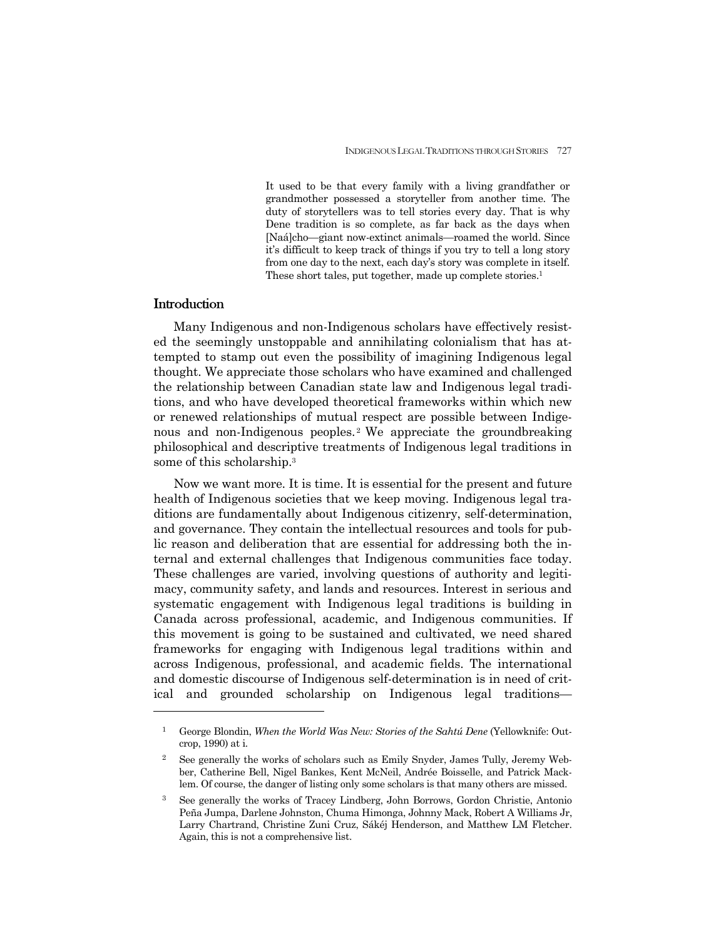It used to be that every family with a living grandfather or grandmother possessed a storyteller from another time. The duty of storytellers was to tell stories every day. That is why Dene tradition is so complete, as far back as the days when [Naá]cho—giant now-extinct animals—roamed the world. Since it's difficult to keep track of things if you try to tell a long story from one day to the next, each day's story was complete in itself. These short tales, put together, made up complete stories.<sup>1</sup>

#### **Introduction**

 $\overline{a}$ 

 Many Indigenous and non-Indigenous scholars have effectively resisted the seemingly unstoppable and annihilating colonialism that has attempted to stamp out even the possibility of imagining Indigenous legal thought. We appreciate those scholars who have examined and challenged the relationship between Canadian state law and Indigenous legal traditions, and who have developed theoretical frameworks within which new or renewed relationships of mutual respect are possible between Indigenous and non-Indigenous peoples.<sup>2</sup> We appreciate the groundbreaking philosophical and descriptive treatments of Indigenous legal traditions in some of this scholarship.3

 Now we want more. It is time. It is essential for the present and future health of Indigenous societies that we keep moving. Indigenous legal traditions are fundamentally about Indigenous citizenry, self-determination, and governance. They contain the intellectual resources and tools for public reason and deliberation that are essential for addressing both the internal and external challenges that Indigenous communities face today. These challenges are varied, involving questions of authority and legitimacy, community safety, and lands and resources. Interest in serious and systematic engagement with Indigenous legal traditions is building in Canada across professional, academic, and Indigenous communities. If this movement is going to be sustained and cultivated, we need shared frameworks for engaging with Indigenous legal traditions within and across Indigenous, professional, and academic fields. The international and domestic discourse of Indigenous self-determination is in need of critical and grounded scholarship on Indigenous legal traditions—

<sup>1</sup> George Blondin, *When the World Was New: Stories of the Sahtú Dene* (Yellowknife: Outcrop, 1990) at i.

<sup>2</sup> See generally the works of scholars such as Emily Snyder, James Tully, Jeremy Webber, Catherine Bell, Nigel Bankes, Kent McNeil, Andrée Boisselle, and Patrick Macklem. Of course, the danger of listing only some scholars is that many others are missed.

<sup>3</sup> See generally the works of Tracey Lindberg, John Borrows, Gordon Christie, Antonio Peña Jumpa, Darlene Johnston, Chuma Himonga, Johnny Mack, Robert A Williams Jr, Larry Chartrand, Christine Zuni Cruz, Sákéj Henderson, and Matthew LM Fletcher. Again, this is not a comprehensive list.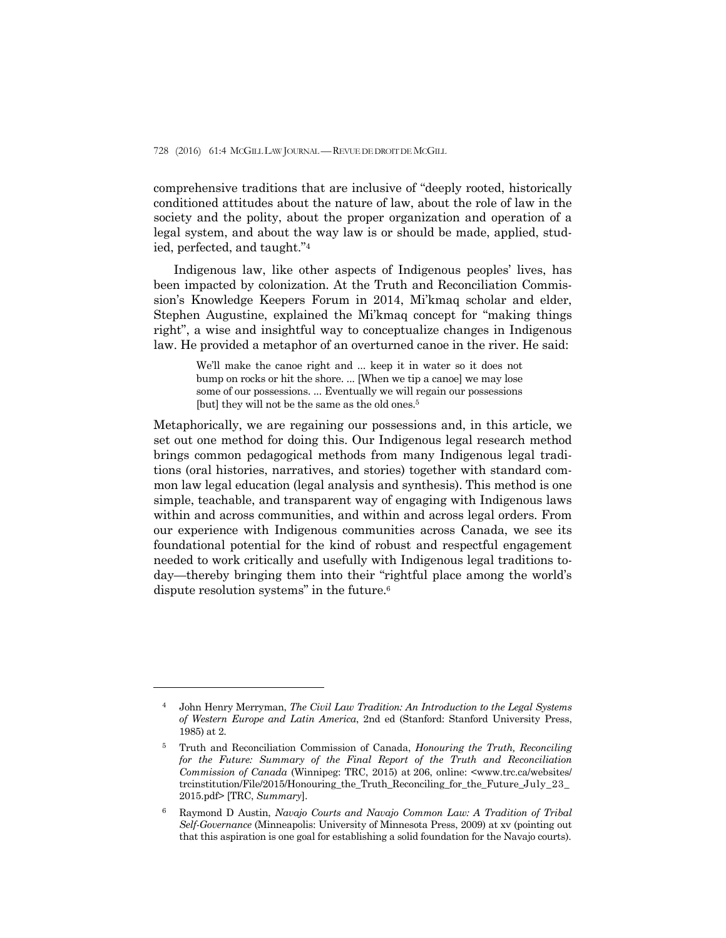comprehensive traditions that are inclusive of "deeply rooted, historically conditioned attitudes about the nature of law, about the role of law in the society and the polity, about the proper organization and operation of a legal system, and about the way law is or should be made, applied, studied, perfected, and taught."4

 Indigenous law, like other aspects of Indigenous peoples' lives, has been impacted by colonization. At the Truth and Reconciliation Commission's Knowledge Keepers Forum in 2014, Mi'kmaq scholar and elder, Stephen Augustine, explained the Mi'kmaq concept for "making things right", a wise and insightful way to conceptualize changes in Indigenous law. He provided a metaphor of an overturned canoe in the river. He said:

> We'll make the canoe right and ... keep it in water so it does not bump on rocks or hit the shore. ... [When we tip a canoe] we may lose some of our possessions. ... Eventually we will regain our possessions [but] they will not be the same as the old ones.<sup>5</sup>

Metaphorically, we are regaining our possessions and, in this article, we set out one method for doing this. Our Indigenous legal research method brings common pedagogical methods from many Indigenous legal traditions (oral histories, narratives, and stories) together with standard common law legal education (legal analysis and synthesis). This method is one simple, teachable, and transparent way of engaging with Indigenous laws within and across communities, and within and across legal orders. From our experience with Indigenous communities across Canada, we see its foundational potential for the kind of robust and respectful engagement needed to work critically and usefully with Indigenous legal traditions today—thereby bringing them into their "rightful place among the world's dispute resolution systems" in the future.6

<sup>4</sup> John Henry Merryman, *The Civil Law Tradition: An Introduction to the Legal Systems of Western Europe and Latin America*, 2nd ed (Stanford: Stanford University Press, 1985) at 2.

<sup>5</sup> Truth and Reconciliation Commission of Canada, *Honouring the Truth, Reconciling for the Future: Summary of the Final Report of the Truth and Reconciliation Commission of Canada* (Winnipeg: TRC, 2015) at 206, online: <www.trc.ca/websites/ trcinstitution/File/2015/Honouring\_the\_Truth\_Reconciling\_for\_the\_Future\_July\_23\_ 2015.pdf> [TRC, *Summary*].

<sup>6</sup> Raymond D Austin, *Navajo Courts and Navajo Common Law: A Tradition of Tribal Self-Governance* (Minneapolis: University of Minnesota Press, 2009) at xv (pointing out that this aspiration is one goal for establishing a solid foundation for the Navajo courts).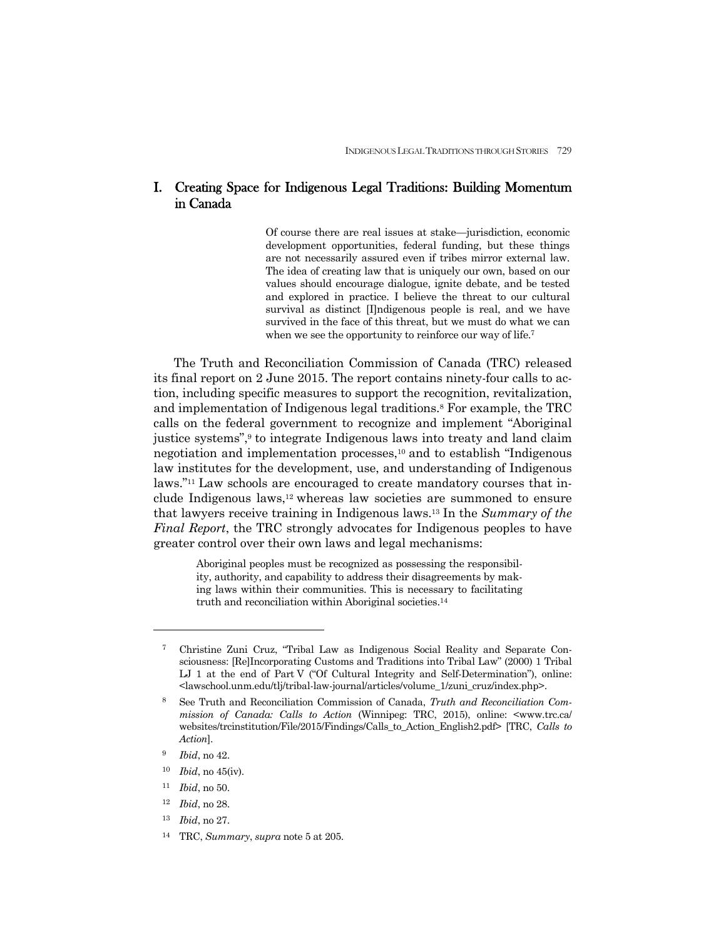## I. Creating Space for Indigenous Legal Traditions: Building Momentum in Canada

Of course there are real issues at stake—jurisdiction, economic development opportunities, federal funding, but these things are not necessarily assured even if tribes mirror external law. The idea of creating law that is uniquely our own, based on our values should encourage dialogue, ignite debate, and be tested and explored in practice. I believe the threat to our cultural survival as distinct [I]ndigenous people is real, and we have survived in the face of this threat, but we must do what we can when we see the opportunity to reinforce our way of life.<sup>7</sup>

 The Truth and Reconciliation Commission of Canada (TRC) released its final report on 2 June 2015. The report contains ninety-four calls to action, including specific measures to support the recognition, revitalization, and implementation of Indigenous legal traditions.8 For example, the TRC calls on the federal government to recognize and implement "Aboriginal justice systems",9 to integrate Indigenous laws into treaty and land claim negotiation and implementation processes,10 and to establish "Indigenous law institutes for the development, use, and understanding of Indigenous laws."11 Law schools are encouraged to create mandatory courses that include Indigenous laws,12 whereas law societies are summoned to ensure that lawyers receive training in Indigenous laws.13 In the *Summary of the Final Report*, the TRC strongly advocates for Indigenous peoples to have greater control over their own laws and legal mechanisms:

> Aboriginal peoples must be recognized as possessing the responsibility, authority, and capability to address their disagreements by making laws within their communities. This is necessary to facilitating truth and reconciliation within Aboriginal societies.14

- <sup>11</sup> *Ibid*, no 50.
- <sup>12</sup> *Ibid*, no 28.
- <sup>13</sup> *Ibid*, no 27.
- 14 TRC, *Summary*, *supra* note 5 at 205.

<sup>7</sup> Christine Zuni Cruz, "Tribal Law as Indigenous Social Reality and Separate Consciousness: [Re]Incorporating Customs and Traditions into Tribal Law" (2000) 1 Tribal LJ 1 at the end of Part V ("Of Cultural Integrity and Self-Determination"), online: <lawschool.unm.edu/tlj/tribal-law-journal/articles/volume\_1/zuni\_cruz/index.php>.

<sup>8</sup> See Truth and Reconciliation Commission of Canada, *Truth and Reconciliation Commission of Canada: Calls to Action* (Winnipeg: TRC, 2015), online: <www.trc.ca/ websites/trcinstitution/File/2015/Findings/Calls\_to\_Action\_English2.pdf> [TRC, *Calls to Action*].

<sup>9</sup> *Ibid*, no 42.

<sup>10</sup> *Ibid*, no 45(iv).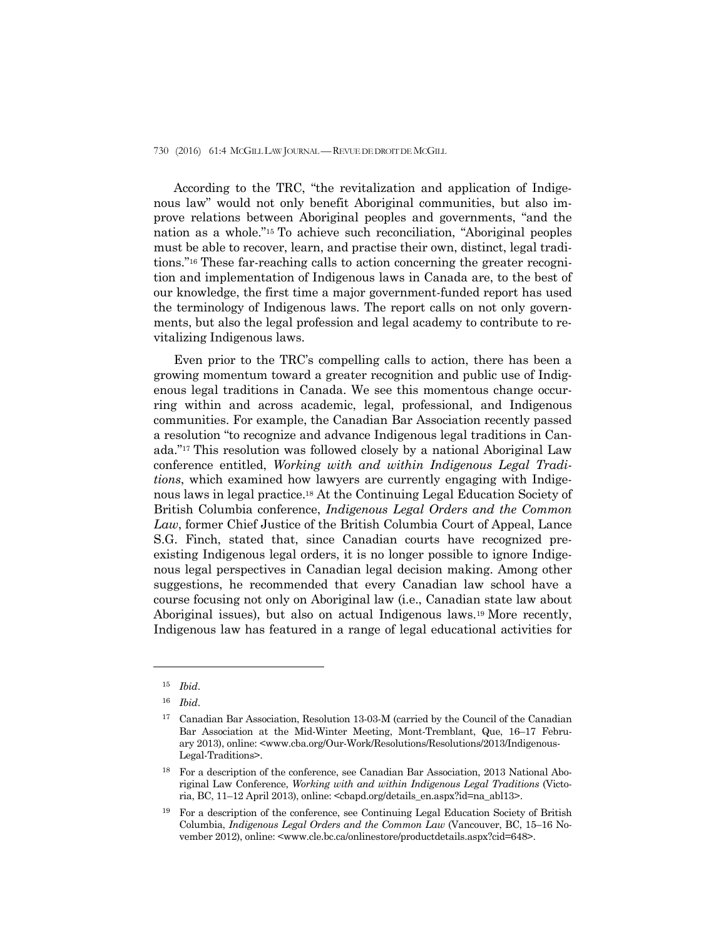According to the TRC, "the revitalization and application of Indigenous law" would not only benefit Aboriginal communities, but also improve relations between Aboriginal peoples and governments, "and the nation as a whole."15 To achieve such reconciliation, "Aboriginal peoples must be able to recover, learn, and practise their own, distinct, legal traditions."16 These far-reaching calls to action concerning the greater recognition and implementation of Indigenous laws in Canada are, to the best of our knowledge, the first time a major government-funded report has used the terminology of Indigenous laws. The report calls on not only governments, but also the legal profession and legal academy to contribute to revitalizing Indigenous laws.

 Even prior to the TRC's compelling calls to action, there has been a growing momentum toward a greater recognition and public use of Indigenous legal traditions in Canada. We see this momentous change occurring within and across academic, legal, professional, and Indigenous communities. For example, the Canadian Bar Association recently passed a resolution "to recognize and advance Indigenous legal traditions in Canada."17 This resolution was followed closely by a national Aboriginal Law conference entitled, *Working with and within Indigenous Legal Traditions*, which examined how lawyers are currently engaging with Indigenous laws in legal practice.18 At the Continuing Legal Education Society of British Columbia conference, *Indigenous Legal Orders and the Common Law*, former Chief Justice of the British Columbia Court of Appeal, Lance S.G. Finch, stated that, since Canadian courts have recognized preexisting Indigenous legal orders, it is no longer possible to ignore Indigenous legal perspectives in Canadian legal decision making. Among other suggestions, he recommended that every Canadian law school have a course focusing not only on Aboriginal law (i.e., Canadian state law about Aboriginal issues), but also on actual Indigenous laws.19 More recently, Indigenous law has featured in a range of legal educational activities for

<sup>15</sup> *Ibid*.

<sup>16</sup> *Ibid*.

<sup>17</sup> Canadian Bar Association, Resolution 13-03-M (carried by the Council of the Canadian Bar Association at the Mid-Winter Meeting, Mont-Tremblant, Que, 16–17 February 2013), online: <www.cba.org/Our-Work/Resolutions/Resolutions/2013/Indigenous-Legal-Traditions>.

<sup>18</sup> For a description of the conference, see Canadian Bar Association, 2013 National Aboriginal Law Conference, *Working with and within Indigenous Legal Traditions* (Victoria, BC, 11–12 April 2013), online: <cbapd.org/details\_en.aspx?id=na\_abl13>.

<sup>&</sup>lt;sup>19</sup> For a description of the conference, see Continuing Legal Education Society of British Columbia, *Indigenous Legal Orders and the Common Law* (Vancouver, BC, 15–16 November 2012), online: <www.cle.bc.ca/onlinestore/productdetails.aspx?cid=648>.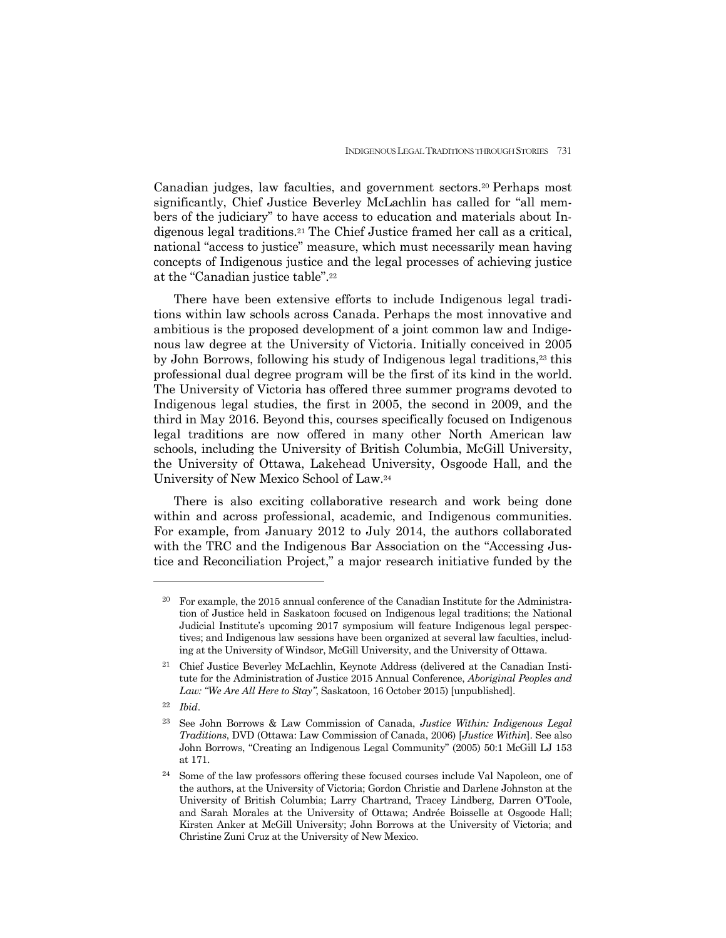Canadian judges, law faculties, and government sectors.20 Perhaps most significantly, Chief Justice Beverley McLachlin has called for "all members of the judiciary" to have access to education and materials about Indigenous legal traditions.21 The Chief Justice framed her call as a critical, national "access to justice" measure, which must necessarily mean having concepts of Indigenous justice and the legal processes of achieving justice at the "Canadian justice table".22

 There have been extensive efforts to include Indigenous legal traditions within law schools across Canada. Perhaps the most innovative and ambitious is the proposed development of a joint common law and Indigenous law degree at the University of Victoria. Initially conceived in 2005 by John Borrows, following his study of Indigenous legal traditions,23 this professional dual degree program will be the first of its kind in the world. The University of Victoria has offered three summer programs devoted to Indigenous legal studies, the first in 2005, the second in 2009, and the third in May 2016. Beyond this, courses specifically focused on Indigenous legal traditions are now offered in many other North American law schools, including the University of British Columbia, McGill University, the University of Ottawa, Lakehead University, Osgoode Hall, and the University of New Mexico School of Law.24

 There is also exciting collaborative research and work being done within and across professional, academic, and Indigenous communities. For example, from January 2012 to July 2014, the authors collaborated with the TRC and the Indigenous Bar Association on the "Accessing Justice and Reconciliation Project," a major research initiative funded by the

<sup>&</sup>lt;sup>20</sup> For example, the 2015 annual conference of the Canadian Institute for the Administration of Justice held in Saskatoon focused on Indigenous legal traditions; the National Judicial Institute's upcoming 2017 symposium will feature Indigenous legal perspectives; and Indigenous law sessions have been organized at several law faculties, including at the University of Windsor, McGill University, and the University of Ottawa.

<sup>21</sup> Chief Justice Beverley McLachlin, Keynote Address (delivered at the Canadian Institute for the Administration of Justice 2015 Annual Conference, *Aboriginal Peoples and Law: "We Are All Here to Stay"*, Saskatoon, 16 October 2015) [unpublished].

<sup>22</sup> *Ibid*.

<sup>23</sup> See John Borrows & Law Commission of Canada, *Justice Within: Indigenous Legal Traditions*, DVD (Ottawa: Law Commission of Canada, 2006) [*Justice Within*]. See also John Borrows, "Creating an Indigenous Legal Community" (2005) 50:1 McGill LJ 153 at 171.

<sup>&</sup>lt;sup>24</sup> Some of the law professors offering these focused courses include Val Napoleon, one of the authors, at the University of Victoria; Gordon Christie and Darlene Johnston at the University of British Columbia; Larry Chartrand, Tracey Lindberg, Darren O'Toole, and Sarah Morales at the University of Ottawa; Andrée Boisselle at Osgoode Hall; Kirsten Anker at McGill University; John Borrows at the University of Victoria; and Christine Zuni Cruz at the University of New Mexico.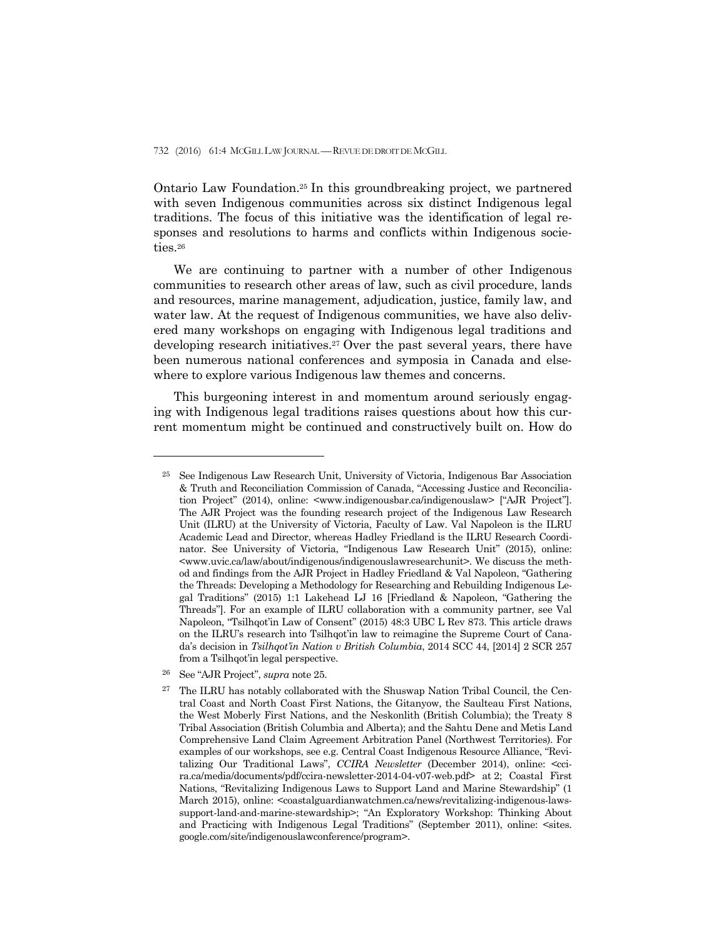Ontario Law Foundation.25 In this groundbreaking project, we partnered with seven Indigenous communities across six distinct Indigenous legal traditions. The focus of this initiative was the identification of legal responses and resolutions to harms and conflicts within Indigenous societies.26

 We are continuing to partner with a number of other Indigenous communities to research other areas of law, such as civil procedure, lands and resources, marine management, adjudication, justice, family law, and water law. At the request of Indigenous communities, we have also delivered many workshops on engaging with Indigenous legal traditions and developing research initiatives.<sup>27</sup> Over the past several years, there have been numerous national conferences and symposia in Canada and elsewhere to explore various Indigenous law themes and concerns.

 This burgeoning interest in and momentum around seriously engaging with Indigenous legal traditions raises questions about how this current momentum might be continued and constructively built on. How do

<sup>25</sup> See Indigenous Law Research Unit, University of Victoria, Indigenous Bar Association & Truth and Reconciliation Commission of Canada, "Accessing Justice and Reconciliation Project" (2014), online: <www.indigenousbar.ca/indigenouslaw> ["AJR Project"]. The AJR Project was the founding research project of the Indigenous Law Research Unit (ILRU) at the University of Victoria, Faculty of Law. Val Napoleon is the ILRU Academic Lead and Director, whereas Hadley Friedland is the ILRU Research Coordinator. See University of Victoria, "Indigenous Law Research Unit" (2015), online: <www.uvic.ca/law/about/indigenous/indigenouslawresearchunit>. We discuss the method and findings from the AJR Project in Hadley Friedland & Val Napoleon, "Gathering the Threads: Developing a Methodology for Researching and Rebuilding Indigenous Legal Traditions" (2015) 1:1 Lakehead LJ 16 [Friedland & Napoleon, "Gathering the Threads"]. For an example of ILRU collaboration with a community partner, see Val Napoleon, "Tsilhqot'in Law of Consent" (2015) 48:3 UBC L Rev 873. This article draws on the ILRU's research into Tsilhqot'in law to reimagine the Supreme Court of Canada's decision in *Tsilhqot'in Nation v British Columbia*, 2014 SCC 44, [2014] 2 SCR 257 from a Tsilhqot'in legal perspective.

<sup>26</sup> See "AJR Project", *supra* note 25.

<sup>27</sup> The ILRU has notably collaborated with the Shuswap Nation Tribal Council, the Central Coast and North Coast First Nations, the Gitanyow, the Saulteau First Nations, the West Moberly First Nations, and the Neskonlith (British Columbia); the Treaty 8 Tribal Association (British Columbia and Alberta); and the Sahtu Dene and Metis Land Comprehensive Land Claim Agreement Arbitration Panel (Northwest Territories). For examples of our workshops, see e.g. Central Coast Indigenous Resource Alliance, "Revitalizing Our Traditional Laws", *CCIRA Newsletter* (December 2014), online: <ccira.ca/media/documents/pdf/ccira-newsletter-2014-04-v07-web.pdf> at 2; Coastal First Nations, "Revitalizing Indigenous Laws to Support Land and Marine Stewardship" (1 March 2015), online: <coastalguardianwatchmen.ca/news/revitalizing-indigenous-lawssupport-land-and-marine-stewardship>; "An Exploratory Workshop: Thinking About and Practicing with Indigenous Legal Traditions" (September 2011), online:  $\leq$ sites. google.com/site/indigenouslawconference/program>.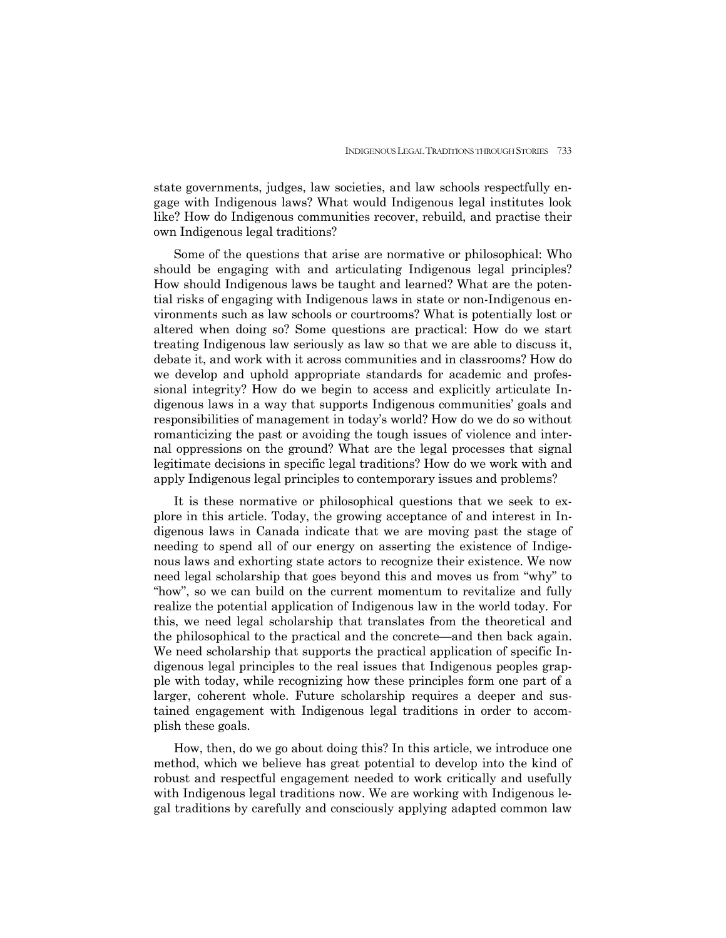state governments, judges, law societies, and law schools respectfully engage with Indigenous laws? What would Indigenous legal institutes look like? How do Indigenous communities recover, rebuild, and practise their own Indigenous legal traditions?

 Some of the questions that arise are normative or philosophical: Who should be engaging with and articulating Indigenous legal principles? How should Indigenous laws be taught and learned? What are the potential risks of engaging with Indigenous laws in state or non-Indigenous environments such as law schools or courtrooms? What is potentially lost or altered when doing so? Some questions are practical: How do we start treating Indigenous law seriously as law so that we are able to discuss it, debate it, and work with it across communities and in classrooms? How do we develop and uphold appropriate standards for academic and professional integrity? How do we begin to access and explicitly articulate Indigenous laws in a way that supports Indigenous communities' goals and responsibilities of management in today's world? How do we do so without romanticizing the past or avoiding the tough issues of violence and internal oppressions on the ground? What are the legal processes that signal legitimate decisions in specific legal traditions? How do we work with and apply Indigenous legal principles to contemporary issues and problems?

 It is these normative or philosophical questions that we seek to explore in this article. Today, the growing acceptance of and interest in Indigenous laws in Canada indicate that we are moving past the stage of needing to spend all of our energy on asserting the existence of Indigenous laws and exhorting state actors to recognize their existence. We now need legal scholarship that goes beyond this and moves us from "why" to "how", so we can build on the current momentum to revitalize and fully realize the potential application of Indigenous law in the world today. For this, we need legal scholarship that translates from the theoretical and the philosophical to the practical and the concrete—and then back again. We need scholarship that supports the practical application of specific Indigenous legal principles to the real issues that Indigenous peoples grapple with today, while recognizing how these principles form one part of a larger, coherent whole. Future scholarship requires a deeper and sustained engagement with Indigenous legal traditions in order to accomplish these goals.

 How, then, do we go about doing this? In this article, we introduce one method, which we believe has great potential to develop into the kind of robust and respectful engagement needed to work critically and usefully with Indigenous legal traditions now. We are working with Indigenous legal traditions by carefully and consciously applying adapted common law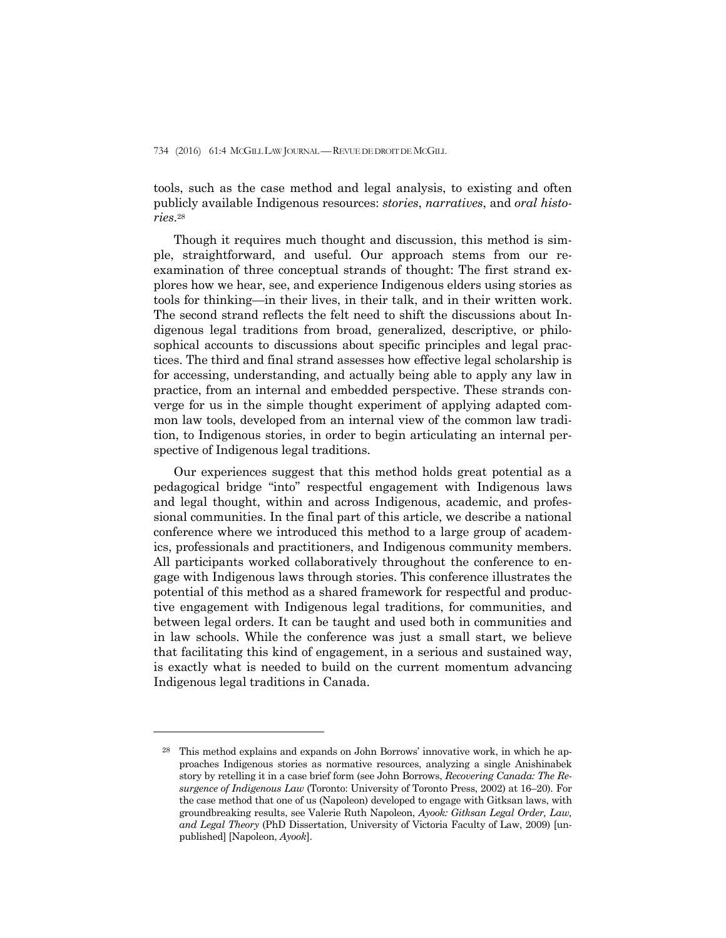tools, such as the case method and legal analysis, to existing and often publicly available Indigenous resources: *stories*, *narratives*, and *oral histories*.28

 Though it requires much thought and discussion, this method is simple, straightforward, and useful. Our approach stems from our reexamination of three conceptual strands of thought: The first strand explores how we hear, see, and experience Indigenous elders using stories as tools for thinking—in their lives, in their talk, and in their written work. The second strand reflects the felt need to shift the discussions about Indigenous legal traditions from broad, generalized, descriptive, or philosophical accounts to discussions about specific principles and legal practices. The third and final strand assesses how effective legal scholarship is for accessing, understanding, and actually being able to apply any law in practice, from an internal and embedded perspective. These strands converge for us in the simple thought experiment of applying adapted common law tools, developed from an internal view of the common law tradition, to Indigenous stories, in order to begin articulating an internal perspective of Indigenous legal traditions.

 Our experiences suggest that this method holds great potential as a pedagogical bridge "into" respectful engagement with Indigenous laws and legal thought, within and across Indigenous, academic, and professional communities. In the final part of this article, we describe a national conference where we introduced this method to a large group of academics, professionals and practitioners, and Indigenous community members. All participants worked collaboratively throughout the conference to engage with Indigenous laws through stories. This conference illustrates the potential of this method as a shared framework for respectful and productive engagement with Indigenous legal traditions, for communities, and between legal orders. It can be taught and used both in communities and in law schools. While the conference was just a small start, we believe that facilitating this kind of engagement, in a serious and sustained way, is exactly what is needed to build on the current momentum advancing Indigenous legal traditions in Canada.

<sup>28</sup> This method explains and expands on John Borrows' innovative work, in which he approaches Indigenous stories as normative resources, analyzing a single Anishinabek story by retelling it in a case brief form (see John Borrows, *Recovering Canada: The Resurgence of Indigenous Law* (Toronto: University of Toronto Press, 2002) at 16–20). For the case method that one of us (Napoleon) developed to engage with Gitksan laws, with groundbreaking results, see Valerie Ruth Napoleon, *Ayook: Gitksan Legal Order, Law, and Legal Theory* (PhD Dissertation, University of Victoria Faculty of Law, 2009) [unpublished] [Napoleon, *Ayook*].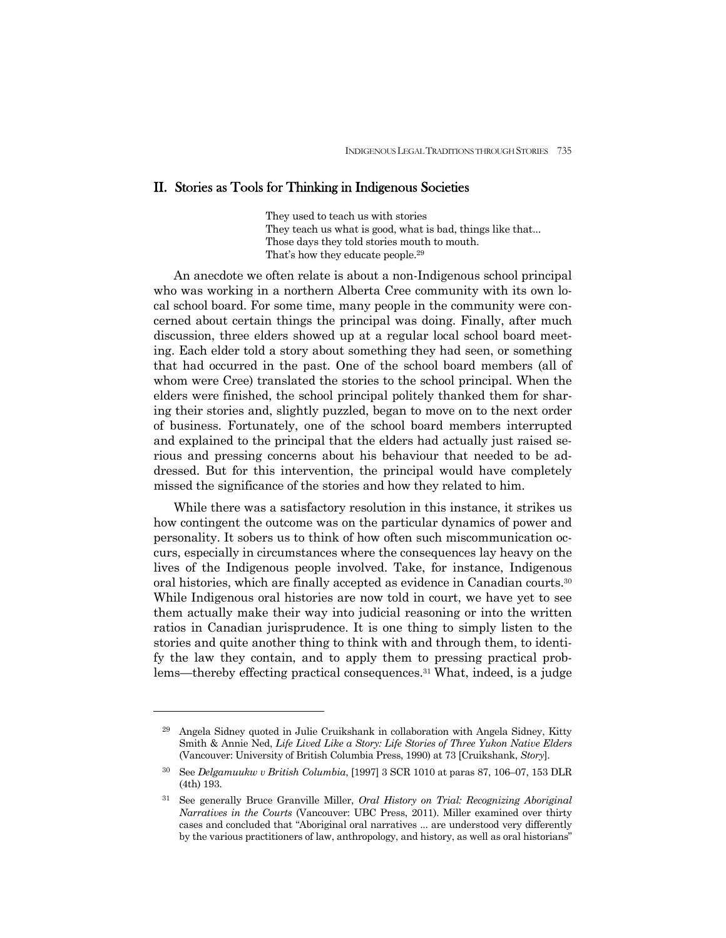#### II. Stories as Tools for Thinking in Indigenous Societies

They used to teach us with stories They teach us what is good, what is bad, things like that... Those days they told stories mouth to mouth. That's how they educate people.29

 An anecdote we often relate is about a non-Indigenous school principal who was working in a northern Alberta Cree community with its own local school board. For some time, many people in the community were concerned about certain things the principal was doing. Finally, after much discussion, three elders showed up at a regular local school board meeting. Each elder told a story about something they had seen, or something that had occurred in the past. One of the school board members (all of whom were Cree) translated the stories to the school principal. When the elders were finished, the school principal politely thanked them for sharing their stories and, slightly puzzled, began to move on to the next order of business. Fortunately, one of the school board members interrupted and explained to the principal that the elders had actually just raised serious and pressing concerns about his behaviour that needed to be addressed. But for this intervention, the principal would have completely missed the significance of the stories and how they related to him.

 While there was a satisfactory resolution in this instance, it strikes us how contingent the outcome was on the particular dynamics of power and personality. It sobers us to think of how often such miscommunication occurs, especially in circumstances where the consequences lay heavy on the lives of the Indigenous people involved. Take, for instance, Indigenous oral histories, which are finally accepted as evidence in Canadian courts.30 While Indigenous oral histories are now told in court, we have yet to see them actually make their way into judicial reasoning or into the written ratios in Canadian jurisprudence. It is one thing to simply listen to the stories and quite another thing to think with and through them, to identify the law they contain, and to apply them to pressing practical problems—thereby effecting practical consequences.31 What, indeed, is a judge

<sup>29</sup> Angela Sidney quoted in Julie Cruikshank in collaboration with Angela Sidney, Kitty Smith & Annie Ned, *Life Lived Like a Story: Life Stories of Three Yukon Native Elders*  (Vancouver: University of British Columbia Press, 1990) at 73 [Cruikshank, *Story*].

<sup>30</sup> See *Delgamuukw v British Columbia*, [1997] 3 SCR 1010 at paras 87, 106–07, 153 DLR (4th) 193.

<sup>31</sup> See generally Bruce Granville Miller, *Oral History on Trial: Recognizing Aboriginal Narratives in the Courts* (Vancouver: UBC Press, 2011). Miller examined over thirty cases and concluded that "Aboriginal oral narratives ... are understood very differently by the various practitioners of law, anthropology, and history, as well as oral historians"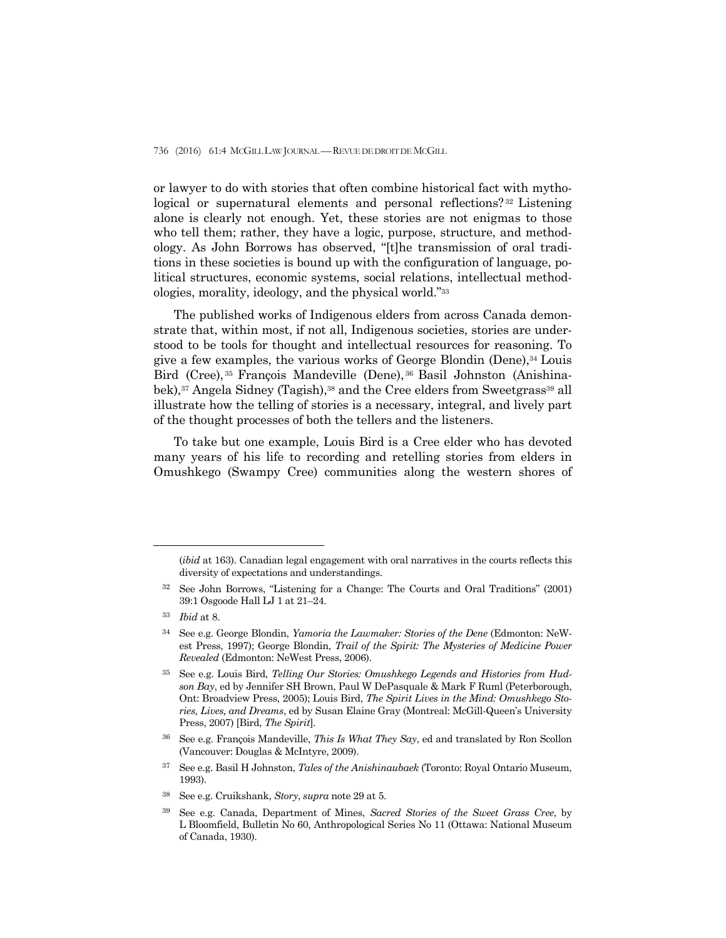or lawyer to do with stories that often combine historical fact with mythological or supernatural elements and personal reflections?<sup>32</sup> Listening alone is clearly not enough. Yet, these stories are not enigmas to those who tell them; rather, they have a logic, purpose, structure, and methodology. As John Borrows has observed, "[t]he transmission of oral traditions in these societies is bound up with the configuration of language, political structures, economic systems, social relations, intellectual methodologies, morality, ideology, and the physical world."33

 The published works of Indigenous elders from across Canada demonstrate that, within most, if not all, Indigenous societies, stories are understood to be tools for thought and intellectual resources for reasoning. To give a few examples, the various works of George Blondin (Dene), $34$  Louis Bird (Cree), 35 François Mandeville (Dene), 36 Basil Johnston (Anishinabek),<sup>37</sup> Angela Sidney (Tagish),<sup>38</sup> and the Cree elders from Sweetgrass<sup>39</sup> all illustrate how the telling of stories is a necessary, integral, and lively part of the thought processes of both the tellers and the listeners.

 To take but one example, Louis Bird is a Cree elder who has devoted many years of his life to recording and retelling stories from elders in Omushkego (Swampy Cree) communities along the western shores of

- 36 See e.g. François Mandeville, *This Is What They Say*, ed and translated by Ron Scollon (Vancouver: Douglas & McIntyre, 2009).
- 37 See e.g. Basil H Johnston, *Tales of the Anishinaubaek* (Toronto: Royal Ontario Museum, 1993).

<sup>(</sup>*ibid* at 163). Canadian legal engagement with oral narratives in the courts reflects this diversity of expectations and understandings.

<sup>32</sup> See John Borrows, "Listening for a Change: The Courts and Oral Traditions" (2001) 39:1 Osgoode Hall LJ 1 at 21–24.

<sup>33</sup> *Ibid* at 8.

<sup>34</sup> See e.g. George Blondin, *Yamoria the Lawmaker: Stories of the Dene* (Edmonton: NeWest Press, 1997); George Blondin, *Trail of the Spirit: The Mysteries of Medicine Power Revealed* (Edmonton: NeWest Press, 2006).

<sup>35</sup> See e.g. Louis Bird, *Telling Our Stories: Omushkego Legends and Histories from Hudson Bay*, ed by Jennifer SH Brown, Paul W DePasquale & Mark F Ruml (Peterborough, Ont: Broadview Press, 2005); Louis Bird, *The Spirit Lives in the Mind: Omushkego Stories, Lives, and Dreams*, ed by Susan Elaine Gray (Montreal: McGill-Queen's University Press, 2007) [Bird, *The Spirit*].

<sup>38</sup> See e.g. Cruikshank, *Story*, *supra* note 29 at 5.

<sup>39</sup> See e.g. Canada, Department of Mines, *Sacred Stories of the Sweet Grass Cree*, by L Bloomfield, Bulletin No 60, Anthropological Series No 11 (Ottawa: National Museum of Canada, 1930).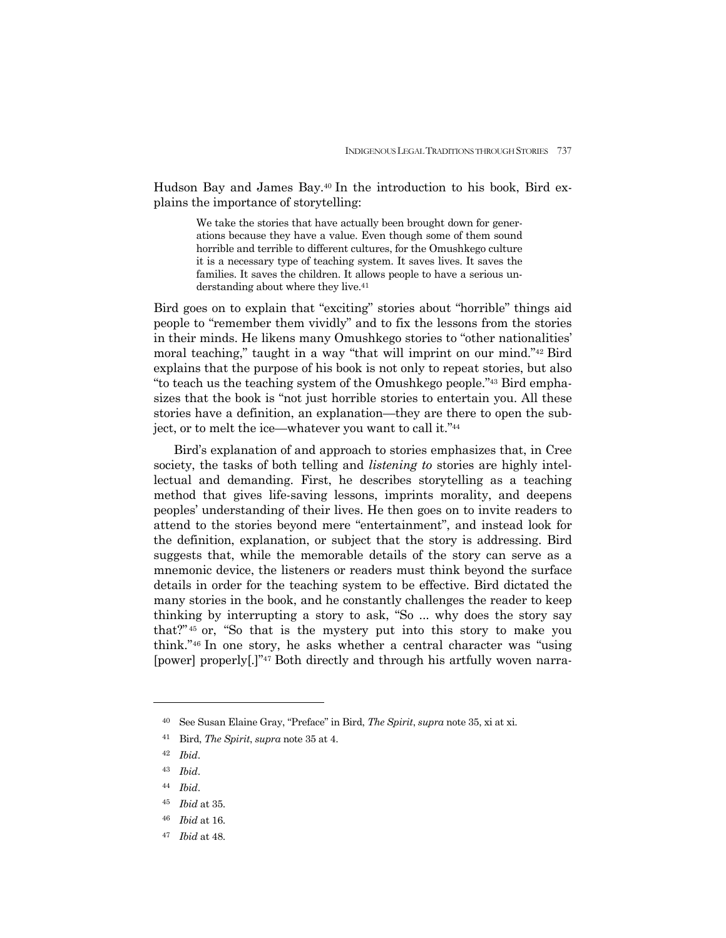Hudson Bay and James Bay.40 In the introduction to his book, Bird explains the importance of storytelling:

> We take the stories that have actually been brought down for generations because they have a value. Even though some of them sound horrible and terrible to different cultures, for the Omushkego culture it is a necessary type of teaching system. It saves lives. It saves the families. It saves the children. It allows people to have a serious understanding about where they live.<sup>41</sup>

Bird goes on to explain that "exciting" stories about "horrible" things aid people to "remember them vividly" and to fix the lessons from the stories in their minds. He likens many Omushkego stories to "other nationalities' moral teaching," taught in a way "that will imprint on our mind."42 Bird explains that the purpose of his book is not only to repeat stories, but also "to teach us the teaching system of the Omushkego people."43 Bird emphasizes that the book is "not just horrible stories to entertain you. All these stories have a definition, an explanation—they are there to open the subject, or to melt the ice—whatever you want to call it."44

 Bird's explanation of and approach to stories emphasizes that, in Cree society, the tasks of both telling and *listening to* stories are highly intellectual and demanding. First, he describes storytelling as a teaching method that gives life-saving lessons, imprints morality, and deepens peoples' understanding of their lives. He then goes on to invite readers to attend to the stories beyond mere "entertainment", and instead look for the definition, explanation, or subject that the story is addressing. Bird suggests that, while the memorable details of the story can serve as a mnemonic device, the listeners or readers must think beyond the surface details in order for the teaching system to be effective. Bird dictated the many stories in the book, and he constantly challenges the reader to keep thinking by interrupting a story to ask, "So ... why does the story say that?" 45 or, "So that is the mystery put into this story to make you think."46 In one story, he asks whether a central character was "using [power] properly[.]"47 Both directly and through his artfully woven narra-

- <sup>43</sup> *Ibid*.
- <sup>44</sup> *Ibid*.
- <sup>45</sup> *Ibid* at 35.
- <sup>46</sup> *Ibid* at 16.
- 47 *Ibid* at 48.

<sup>40</sup> See Susan Elaine Gray, "Preface" in Bird, *The Spirit*, *supra* note 35, xi at xi.

<sup>41</sup> Bird, *The Spirit*, *supra* note 35 at 4.

<sup>42</sup> *Ibid*.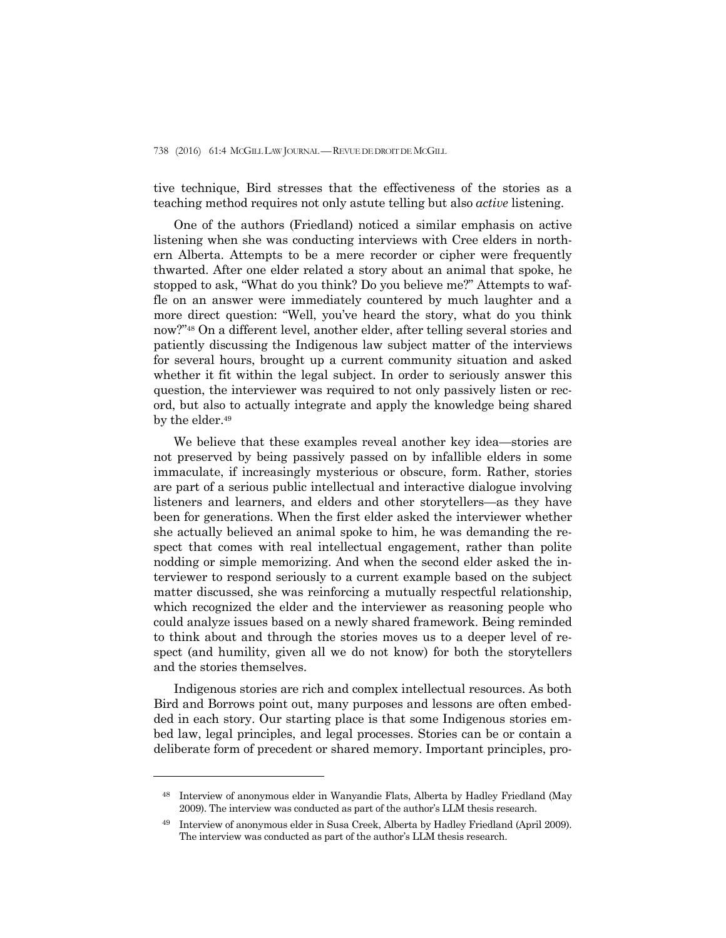tive technique, Bird stresses that the effectiveness of the stories as a teaching method requires not only astute telling but also *active* listening.

 One of the authors (Friedland) noticed a similar emphasis on active listening when she was conducting interviews with Cree elders in northern Alberta. Attempts to be a mere recorder or cipher were frequently thwarted. After one elder related a story about an animal that spoke, he stopped to ask, "What do you think? Do you believe me?" Attempts to waffle on an answer were immediately countered by much laughter and a more direct question: "Well, you've heard the story, what do you think now?"48 On a different level, another elder, after telling several stories and patiently discussing the Indigenous law subject matter of the interviews for several hours, brought up a current community situation and asked whether it fit within the legal subject. In order to seriously answer this question, the interviewer was required to not only passively listen or record, but also to actually integrate and apply the knowledge being shared by the elder.<sup>49</sup>

 We believe that these examples reveal another key idea—stories are not preserved by being passively passed on by infallible elders in some immaculate, if increasingly mysterious or obscure, form. Rather, stories are part of a serious public intellectual and interactive dialogue involving listeners and learners, and elders and other storytellers—as they have been for generations. When the first elder asked the interviewer whether she actually believed an animal spoke to him, he was demanding the respect that comes with real intellectual engagement, rather than polite nodding or simple memorizing. And when the second elder asked the interviewer to respond seriously to a current example based on the subject matter discussed, she was reinforcing a mutually respectful relationship, which recognized the elder and the interviewer as reasoning people who could analyze issues based on a newly shared framework. Being reminded to think about and through the stories moves us to a deeper level of respect (and humility, given all we do not know) for both the storytellers and the stories themselves.

 Indigenous stories are rich and complex intellectual resources. As both Bird and Borrows point out, many purposes and lessons are often embedded in each story. Our starting place is that some Indigenous stories embed law, legal principles, and legal processes. Stories can be or contain a deliberate form of precedent or shared memory. Important principles, pro-

<sup>48</sup> Interview of anonymous elder in Wanyandie Flats, Alberta by Hadley Friedland (May 2009). The interview was conducted as part of the author's LLM thesis research.

<sup>49</sup> Interview of anonymous elder in Susa Creek, Alberta by Hadley Friedland (April 2009). The interview was conducted as part of the author's LLM thesis research.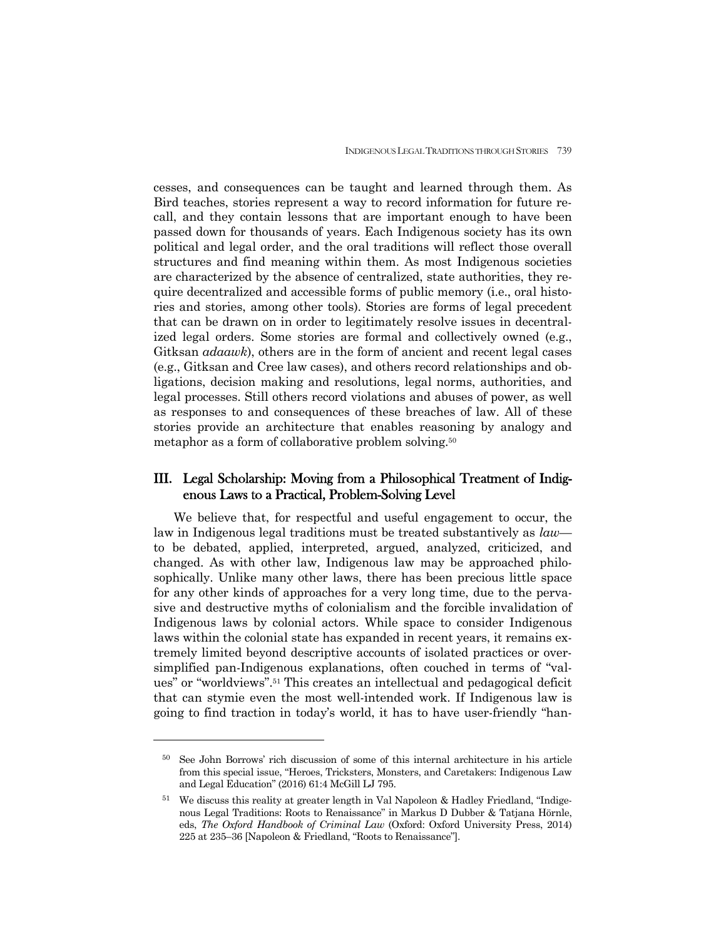cesses, and consequences can be taught and learned through them. As Bird teaches, stories represent a way to record information for future recall, and they contain lessons that are important enough to have been passed down for thousands of years. Each Indigenous society has its own political and legal order, and the oral traditions will reflect those overall structures and find meaning within them. As most Indigenous societies are characterized by the absence of centralized, state authorities, they require decentralized and accessible forms of public memory (i.e., oral histories and stories, among other tools). Stories are forms of legal precedent that can be drawn on in order to legitimately resolve issues in decentralized legal orders. Some stories are formal and collectively owned (e.g., Gitksan *adaawk*), others are in the form of ancient and recent legal cases (e.g., Gitksan and Cree law cases), and others record relationships and obligations, decision making and resolutions, legal norms, authorities, and legal processes. Still others record violations and abuses of power, as well as responses to and consequences of these breaches of law. All of these stories provide an architecture that enables reasoning by analogy and metaphor as a form of collaborative problem solving.50

## III. Legal Scholarship: Moving from a Philosophical Treatment of Indigenous Laws to a Practical, Problem-Solving Level

We believe that, for respectful and useful engagement to occur, the law in Indigenous legal traditions must be treated substantively as *law* to be debated, applied, interpreted, argued, analyzed, criticized, and changed. As with other law, Indigenous law may be approached philosophically. Unlike many other laws, there has been precious little space for any other kinds of approaches for a very long time, due to the pervasive and destructive myths of colonialism and the forcible invalidation of Indigenous laws by colonial actors. While space to consider Indigenous laws within the colonial state has expanded in recent years, it remains extremely limited beyond descriptive accounts of isolated practices or oversimplified pan-Indigenous explanations, often couched in terms of "values" or "worldviews".51 This creates an intellectual and pedagogical deficit that can stymie even the most well-intended work. If Indigenous law is going to find traction in today's world, it has to have user-friendly "han-

<sup>50</sup> See John Borrows' rich discussion of some of this internal architecture in his article from this special issue, "Heroes, Tricksters, Monsters, and Caretakers: Indigenous Law and Legal Education" (2016) 61:4 McGill LJ 795.

<sup>51</sup> We discuss this reality at greater length in Val Napoleon & Hadley Friedland, "Indigenous Legal Traditions: Roots to Renaissance" in Markus D Dubber & Tatjana Hörnle, eds, *The Oxford Handbook of Criminal Law* (Oxford: Oxford University Press, 2014) 225 at 235–36 [Napoleon & Friedland, "Roots to Renaissance"].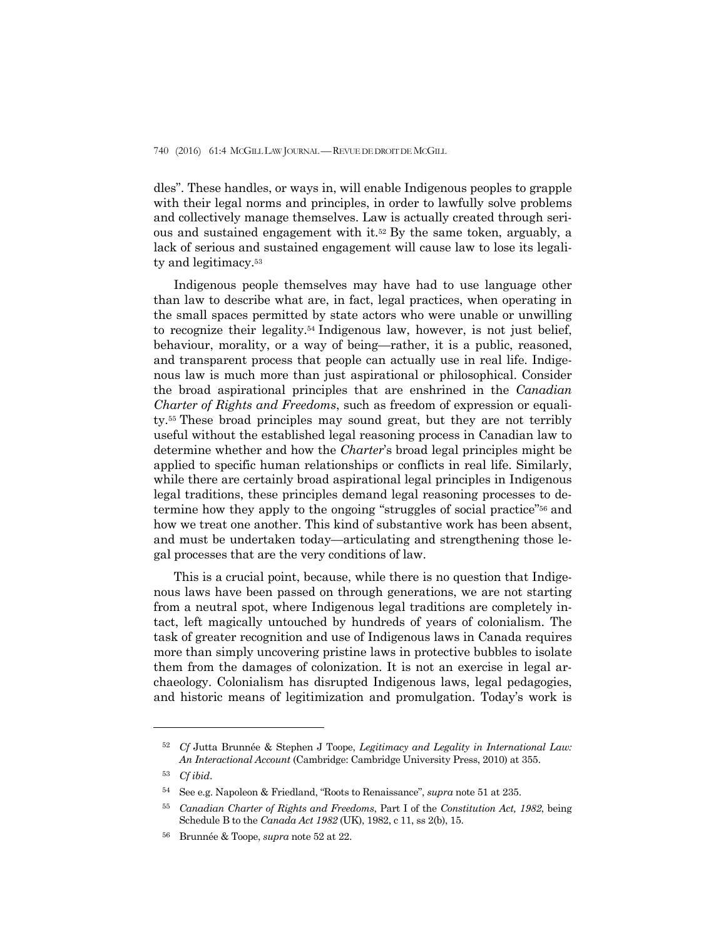dles". These handles, or ways in, will enable Indigenous peoples to grapple with their legal norms and principles, in order to lawfully solve problems and collectively manage themselves. Law is actually created through serious and sustained engagement with it.52 By the same token, arguably, a lack of serious and sustained engagement will cause law to lose its legality and legitimacy.53

 Indigenous people themselves may have had to use language other than law to describe what are, in fact, legal practices, when operating in the small spaces permitted by state actors who were unable or unwilling to recognize their legality.54 Indigenous law, however, is not just belief, behaviour, morality, or a way of being—rather, it is a public, reasoned, and transparent process that people can actually use in real life. Indigenous law is much more than just aspirational or philosophical. Consider the broad aspirational principles that are enshrined in the *Canadian Charter of Rights and Freedoms*, such as freedom of expression or equality.55 These broad principles may sound great, but they are not terribly useful without the established legal reasoning process in Canadian law to determine whether and how the *Charter*'s broad legal principles might be applied to specific human relationships or conflicts in real life. Similarly, while there are certainly broad aspirational legal principles in Indigenous legal traditions, these principles demand legal reasoning processes to determine how they apply to the ongoing "struggles of social practice"56 and how we treat one another. This kind of substantive work has been absent, and must be undertaken today—articulating and strengthening those legal processes that are the very conditions of law.

 This is a crucial point, because, while there is no question that Indigenous laws have been passed on through generations, we are not starting from a neutral spot, where Indigenous legal traditions are completely intact, left magically untouched by hundreds of years of colonialism. The task of greater recognition and use of Indigenous laws in Canada requires more than simply uncovering pristine laws in protective bubbles to isolate them from the damages of colonization. It is not an exercise in legal archaeology. Colonialism has disrupted Indigenous laws, legal pedagogies, and historic means of legitimization and promulgation. Today's work is

<sup>52</sup> *Cf* Jutta Brunnée & Stephen J Toope, *Legitimacy and Legality in International Law: An Interactional Account* (Cambridge: Cambridge University Press, 2010) at 355.

<sup>53</sup> *Cf ibid*.

<sup>54</sup> See e.g. Napoleon & Friedland, "Roots to Renaissance", *supra* note 51 at 235.

<sup>55</sup> *Canadian Charter of Rights and Freedoms*, Part I of the *Constitution Act, 1982*, being Schedule B to the *Canada Act 1982* (UK), 1982, c 11, ss 2(b), 15.

<sup>56</sup>Brunnée & Toope, *supra* note 52 at 22.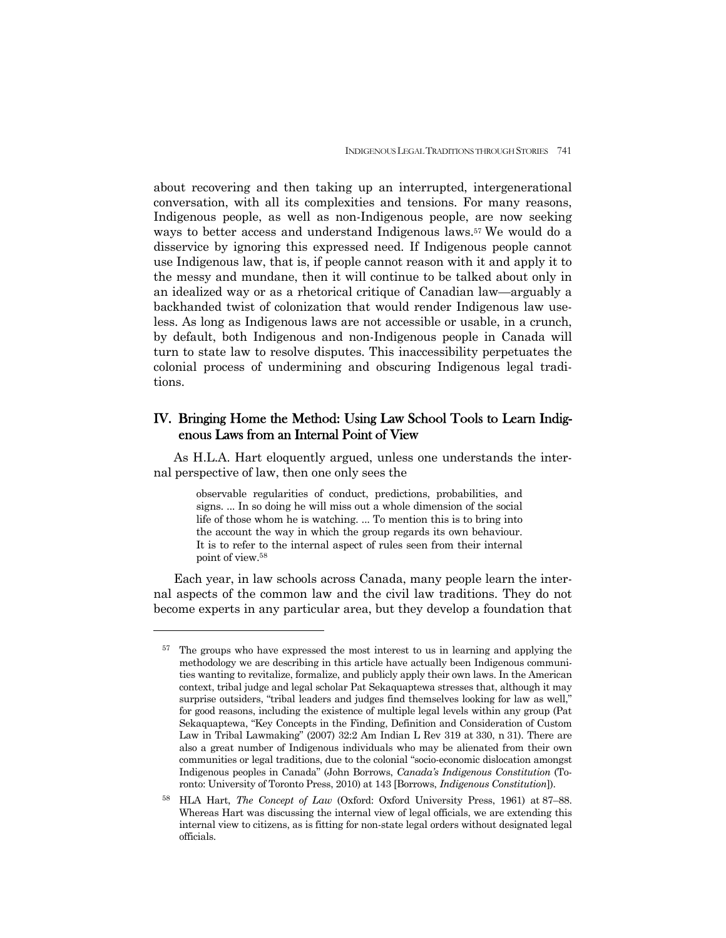about recovering and then taking up an interrupted, intergenerational conversation, with all its complexities and tensions. For many reasons, Indigenous people, as well as non-Indigenous people, are now seeking ways to better access and understand Indigenous laws.57 We would do a disservice by ignoring this expressed need. If Indigenous people cannot use Indigenous law, that is, if people cannot reason with it and apply it to the messy and mundane, then it will continue to be talked about only in an idealized way or as a rhetorical critique of Canadian law—arguably a backhanded twist of colonization that would render Indigenous law useless. As long as Indigenous laws are not accessible or usable, in a crunch, by default, both Indigenous and non-Indigenous people in Canada will turn to state law to resolve disputes. This inaccessibility perpetuates the colonial process of undermining and obscuring Indigenous legal traditions.

## IV. Bringing Home the Method: Using Law School Tools to Learn Indigenous Laws from an Internal Point of View

 As H.L.A. Hart eloquently argued, unless one understands the internal perspective of law, then one only sees the

> observable regularities of conduct, predictions, probabilities, and signs. ... In so doing he will miss out a whole dimension of the social life of those whom he is watching. ... To mention this is to bring into the account the way in which the group regards its own behaviour. It is to refer to the internal aspect of rules seen from their internal point of view.58

 Each year, in law schools across Canada, many people learn the internal aspects of the common law and the civil law traditions. They do not become experts in any particular area, but they develop a foundation that

<sup>&</sup>lt;sup>57</sup> The groups who have expressed the most interest to us in learning and applying the methodology we are describing in this article have actually been Indigenous communities wanting to revitalize, formalize, and publicly apply their own laws. In the American context, tribal judge and legal scholar Pat Sekaquaptewa stresses that, although it may surprise outsiders, "tribal leaders and judges find themselves looking for law as well," for good reasons, including the existence of multiple legal levels within any group (Pat Sekaquaptewa, "Key Concepts in the Finding, Definition and Consideration of Custom Law in Tribal Lawmaking" (2007) 32:2 Am Indian L Rev 319 at 330, n 31). There are also a great number of Indigenous individuals who may be alienated from their own communities or legal traditions, due to the colonial "socio-economic dislocation amongst Indigenous peoples in Canada" (John Borrows, *Canada's Indigenous Constitution* (Toronto: University of Toronto Press, 2010) at 143 [Borrows, *Indigenous Constitution*]).

<sup>58</sup> HLA Hart, *The Concept of Law* (Oxford: Oxford University Press, 1961) at 87–88. Whereas Hart was discussing the internal view of legal officials, we are extending this internal view to citizens, as is fitting for non-state legal orders without designated legal officials.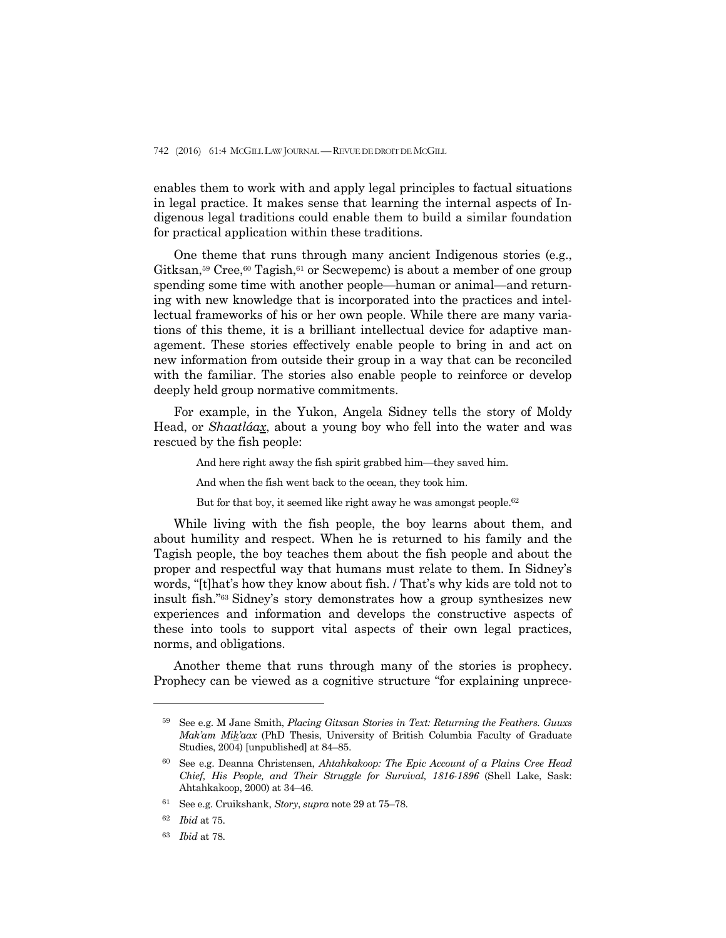enables them to work with and apply legal principles to factual situations in legal practice. It makes sense that learning the internal aspects of Indigenous legal traditions could enable them to build a similar foundation for practical application within these traditions.

 One theme that runs through many ancient Indigenous stories (e.g., Gitksan,<sup>59</sup> Cree,<sup>60</sup> Tagish,<sup>61</sup> or Secwepemc) is about a member of one group spending some time with another people—human or animal—and returning with new knowledge that is incorporated into the practices and intellectual frameworks of his or her own people. While there are many variations of this theme, it is a brilliant intellectual device for adaptive management. These stories effectively enable people to bring in and act on new information from outside their group in a way that can be reconciled with the familiar. The stories also enable people to reinforce or develop deeply held group normative commitments.

 For example, in the Yukon, Angela Sidney tells the story of Moldy Head, or *Shaatláax*, about a young boy who fell into the water and was rescued by the fish people:

And here right away the fish spirit grabbed him—they saved him.

And when the fish went back to the ocean, they took him.

But for that boy, it seemed like right away he was amongst people.<sup>62</sup>

 While living with the fish people, the boy learns about them, and about humility and respect. When he is returned to his family and the Tagish people, the boy teaches them about the fish people and about the proper and respectful way that humans must relate to them. In Sidney's words, "[t]hat's how they know about fish. / That's why kids are told not to insult fish."63 Sidney's story demonstrates how a group synthesizes new experiences and information and develops the constructive aspects of these into tools to support vital aspects of their own legal practices, norms, and obligations.

 Another theme that runs through many of the stories is prophecy. Prophecy can be viewed as a cognitive structure "for explaining unprece-

<sup>59</sup> See e.g. M Jane Smith, *Placing Gitxsan Stories in Text: Returning the Feathers. Guuxs Mak'am Mik'aax* (PhD Thesis, University of British Columbia Faculty of Graduate Studies, 2004) [unpublished] at 84–85.

<sup>60</sup> See e.g. Deanna Christensen, *Ahtahkakoop: The Epic Account of a Plains Cree Head Chief, His People, and Their Struggle for Survival, 1816-1896* (Shell Lake, Sask: Ahtahkakoop, 2000) at 34–46.

<sup>61</sup> See e.g. Cruikshank, *Story*, *supra* note 29 at 75–78.

<sup>62</sup> *Ibid* at 75.

<sup>63</sup> *Ibid* at 78.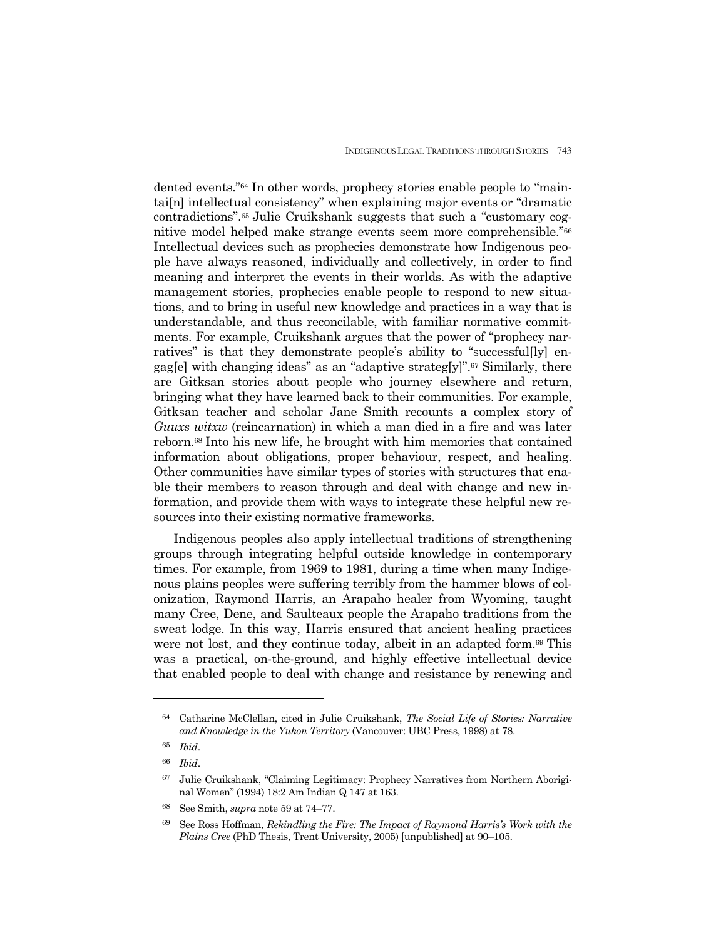dented events."64 In other words, prophecy stories enable people to "maintai[n] intellectual consistency" when explaining major events or "dramatic contradictions".65 Julie Cruikshank suggests that such a "customary cognitive model helped make strange events seem more comprehensible."66 Intellectual devices such as prophecies demonstrate how Indigenous people have always reasoned, individually and collectively, in order to find meaning and interpret the events in their worlds. As with the adaptive management stories, prophecies enable people to respond to new situations, and to bring in useful new knowledge and practices in a way that is understandable, and thus reconcilable, with familiar normative commitments. For example, Cruikshank argues that the power of "prophecy narratives" is that they demonstrate people's ability to "successful[ly] engag[e] with changing ideas" as an "adaptive strateg[y]".67 Similarly, there are Gitksan stories about people who journey elsewhere and return, bringing what they have learned back to their communities. For example, Gitksan teacher and scholar Jane Smith recounts a complex story of *Guuxs witxw* (reincarnation) in which a man died in a fire and was later reborn.68 Into his new life, he brought with him memories that contained information about obligations, proper behaviour, respect, and healing. Other communities have similar types of stories with structures that enable their members to reason through and deal with change and new information, and provide them with ways to integrate these helpful new resources into their existing normative frameworks.

 Indigenous peoples also apply intellectual traditions of strengthening groups through integrating helpful outside knowledge in contemporary times. For example, from 1969 to 1981, during a time when many Indigenous plains peoples were suffering terribly from the hammer blows of colonization, Raymond Harris, an Arapaho healer from Wyoming, taught many Cree, Dene, and Saulteaux people the Arapaho traditions from the sweat lodge. In this way, Harris ensured that ancient healing practices were not lost, and they continue today, albeit in an adapted form.69 This was a practical, on-the-ground, and highly effective intellectual device that enabled people to deal with change and resistance by renewing and

<sup>64</sup> Catharine McClellan, cited in Julie Cruikshank, *The Social Life of Stories: Narrative and Knowledge in the Yukon Territory* (Vancouver: UBC Press, 1998) at 78.

<sup>65</sup> *Ibid*.

<sup>66</sup> *Ibid*.

<sup>67</sup> Julie Cruikshank, "Claiming Legitimacy: Prophecy Narratives from Northern Aboriginal Women" (1994) 18:2 Am Indian Q 147 at 163.

<sup>68</sup> See Smith, *supra* note 59 at 74–77.

<sup>69</sup> See Ross Hoffman, *Rekindling the Fire: The Impact of Raymond Harris's Work with the Plains Cree* (PhD Thesis, Trent University, 2005) [unpublished] at 90–105.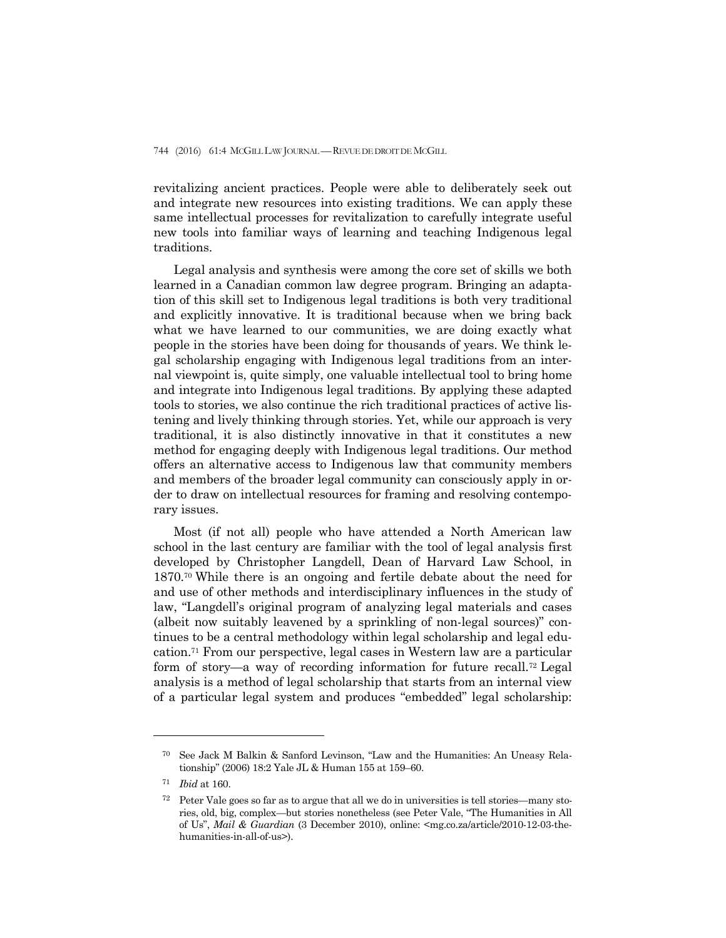revitalizing ancient practices. People were able to deliberately seek out and integrate new resources into existing traditions. We can apply these same intellectual processes for revitalization to carefully integrate useful new tools into familiar ways of learning and teaching Indigenous legal traditions.

 Legal analysis and synthesis were among the core set of skills we both learned in a Canadian common law degree program. Bringing an adaptation of this skill set to Indigenous legal traditions is both very traditional and explicitly innovative. It is traditional because when we bring back what we have learned to our communities, we are doing exactly what people in the stories have been doing for thousands of years. We think legal scholarship engaging with Indigenous legal traditions from an internal viewpoint is, quite simply, one valuable intellectual tool to bring home and integrate into Indigenous legal traditions. By applying these adapted tools to stories, we also continue the rich traditional practices of active listening and lively thinking through stories. Yet, while our approach is very traditional, it is also distinctly innovative in that it constitutes a new method for engaging deeply with Indigenous legal traditions. Our method offers an alternative access to Indigenous law that community members and members of the broader legal community can consciously apply in order to draw on intellectual resources for framing and resolving contemporary issues.

 Most (if not all) people who have attended a North American law school in the last century are familiar with the tool of legal analysis first developed by Christopher Langdell, Dean of Harvard Law School, in 1870.70 While there is an ongoing and fertile debate about the need for and use of other methods and interdisciplinary influences in the study of law, "Langdell's original program of analyzing legal materials and cases (albeit now suitably leavened by a sprinkling of non-legal sources)" continues to be a central methodology within legal scholarship and legal education.71 From our perspective, legal cases in Western law are a particular form of story—a way of recording information for future recall.72 Legal analysis is a method of legal scholarship that starts from an internal view of a particular legal system and produces "embedded" legal scholarship:

<sup>70</sup> See Jack M Balkin & Sanford Levinson, "Law and the Humanities: An Uneasy Relationship" (2006) 18:2 Yale JL & Human 155 at 159–60.

<sup>71</sup> *Ibid* at 160.

<sup>72</sup> Peter Vale goes so far as to argue that all we do in universities is tell stories—many stories, old, big, complex—but stories nonetheless (see Peter Vale, "The Humanities in All of Us", *Mail & Guardian* (3 December 2010), online: <mg.co.za/article/2010-12-03-thehumanities-in-all-of-us>).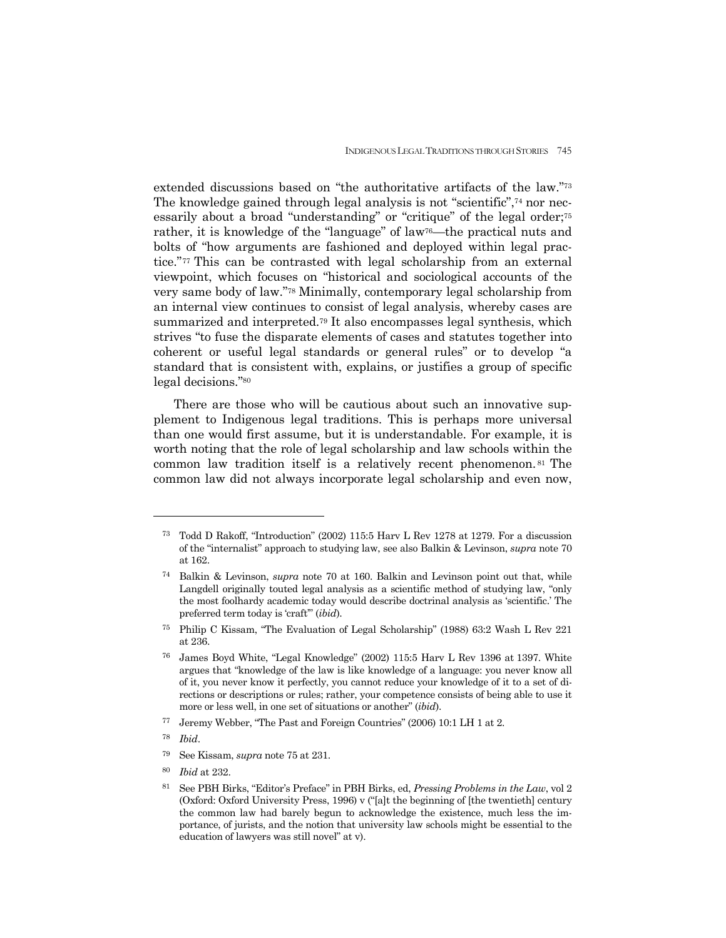extended discussions based on "the authoritative artifacts of the law."73 The knowledge gained through legal analysis is not "scientific", $74$  nor necessarily about a broad "understanding" or "critique" of the legal order;<sup>75</sup> rather, it is knowledge of the "language" of law76—the practical nuts and bolts of "how arguments are fashioned and deployed within legal practice."77 This can be contrasted with legal scholarship from an external viewpoint, which focuses on "historical and sociological accounts of the very same body of law."78 Minimally, contemporary legal scholarship from an internal view continues to consist of legal analysis, whereby cases are summarized and interpreted.79 It also encompasses legal synthesis, which strives "to fuse the disparate elements of cases and statutes together into coherent or useful legal standards or general rules" or to develop "a standard that is consistent with, explains, or justifies a group of specific legal decisions."80

 There are those who will be cautious about such an innovative supplement to Indigenous legal traditions. This is perhaps more universal than one would first assume, but it is understandable. For example, it is worth noting that the role of legal scholarship and law schools within the common law tradition itself is a relatively recent phenomenon. 81 The common law did not always incorporate legal scholarship and even now,

<sup>73</sup> Todd D Rakoff, "Introduction" (2002) 115:5 Harv L Rev 1278 at 1279. For a discussion of the "internalist" approach to studying law, see also Balkin & Levinson, *supra* note 70 at 162.

<sup>74</sup> Balkin & Levinson, *supra* note 70 at 160. Balkin and Levinson point out that, while Langdell originally touted legal analysis as a scientific method of studying law, "only the most foolhardy academic today would describe doctrinal analysis as 'scientific.' The preferred term today is 'craft'" (*ibid*).

<sup>75</sup> Philip C Kissam, "The Evaluation of Legal Scholarship" (1988) 63:2 Wash L Rev 221 at 236.

<sup>76</sup> James Boyd White, "Legal Knowledge" (2002) 115:5 Harv L Rev 1396 at 1397. White argues that "knowledge of the law is like knowledge of a language: you never know all of it, you never know it perfectly, you cannot reduce your knowledge of it to a set of directions or descriptions or rules; rather, your competence consists of being able to use it more or less well, in one set of situations or another" (*ibid*).

<sup>77</sup> Jeremy Webber, "The Past and Foreign Countries" (2006) 10:1 LH 1 at 2.

<sup>78</sup> *Ibid*.

<sup>79</sup> See Kissam, *supra* note 75 at 231.

<sup>80</sup> *Ibid* at 232.

<sup>81</sup> See PBH Birks, "Editor's Preface" in PBH Birks, ed, *Pressing Problems in the Law*, vol 2 (Oxford: Oxford University Press, 1996) v ("[a]t the beginning of [the twentieth] century the common law had barely begun to acknowledge the existence, much less the importance, of jurists, and the notion that university law schools might be essential to the education of lawyers was still novel" at v).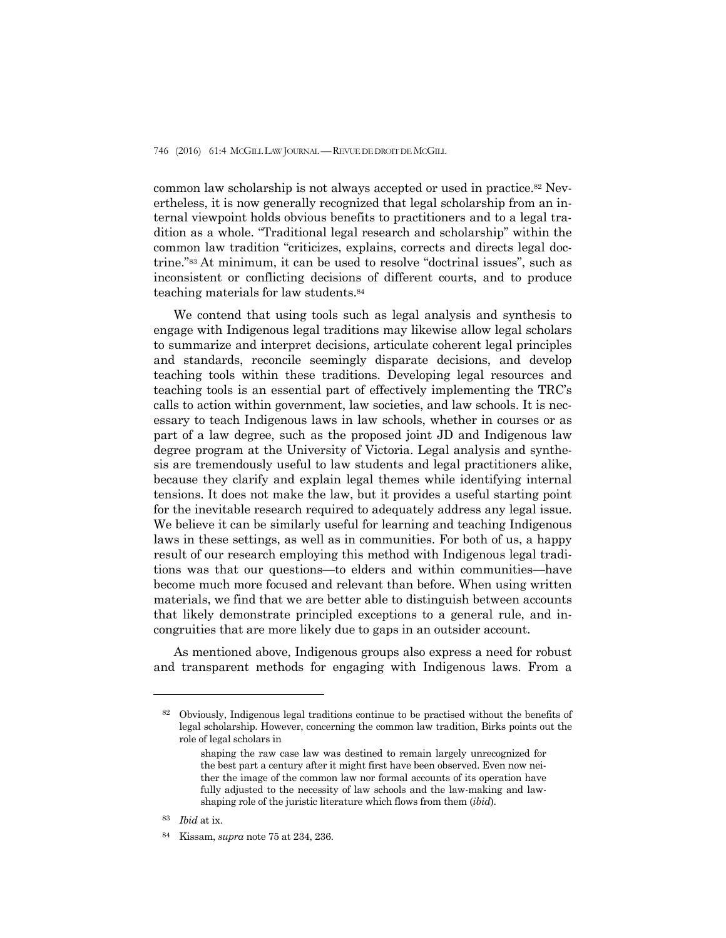common law scholarship is not always accepted or used in practice.82 Nevertheless, it is now generally recognized that legal scholarship from an internal viewpoint holds obvious benefits to practitioners and to a legal tradition as a whole. "Traditional legal research and scholarship" within the common law tradition "criticizes, explains, corrects and directs legal doctrine."83 At minimum, it can be used to resolve "doctrinal issues", such as inconsistent or conflicting decisions of different courts, and to produce teaching materials for law students.84

 We contend that using tools such as legal analysis and synthesis to engage with Indigenous legal traditions may likewise allow legal scholars to summarize and interpret decisions, articulate coherent legal principles and standards, reconcile seemingly disparate decisions, and develop teaching tools within these traditions. Developing legal resources and teaching tools is an essential part of effectively implementing the TRC's calls to action within government, law societies, and law schools. It is necessary to teach Indigenous laws in law schools, whether in courses or as part of a law degree, such as the proposed joint JD and Indigenous law degree program at the University of Victoria. Legal analysis and synthesis are tremendously useful to law students and legal practitioners alike, because they clarify and explain legal themes while identifying internal tensions. It does not make the law, but it provides a useful starting point for the inevitable research required to adequately address any legal issue. We believe it can be similarly useful for learning and teaching Indigenous laws in these settings, as well as in communities. For both of us, a happy result of our research employing this method with Indigenous legal traditions was that our questions—to elders and within communities—have become much more focused and relevant than before. When using written materials, we find that we are better able to distinguish between accounts that likely demonstrate principled exceptions to a general rule, and incongruities that are more likely due to gaps in an outsider account.

 As mentioned above, Indigenous groups also express a need for robust and transparent methods for engaging with Indigenous laws. From a

<sup>82</sup> Obviously, Indigenous legal traditions continue to be practised without the benefits of legal scholarship. However, concerning the common law tradition, Birks points out the role of legal scholars in

shaping the raw case law was destined to remain largely unrecognized for the best part a century after it might first have been observed. Even now neither the image of the common law nor formal accounts of its operation have fully adjusted to the necessity of law schools and the law-making and lawshaping role of the juristic literature which flows from them (*ibid*).

<sup>83</sup> *Ibid* at ix.

<sup>84</sup> Kissam, *supra* note 75 at 234, 236.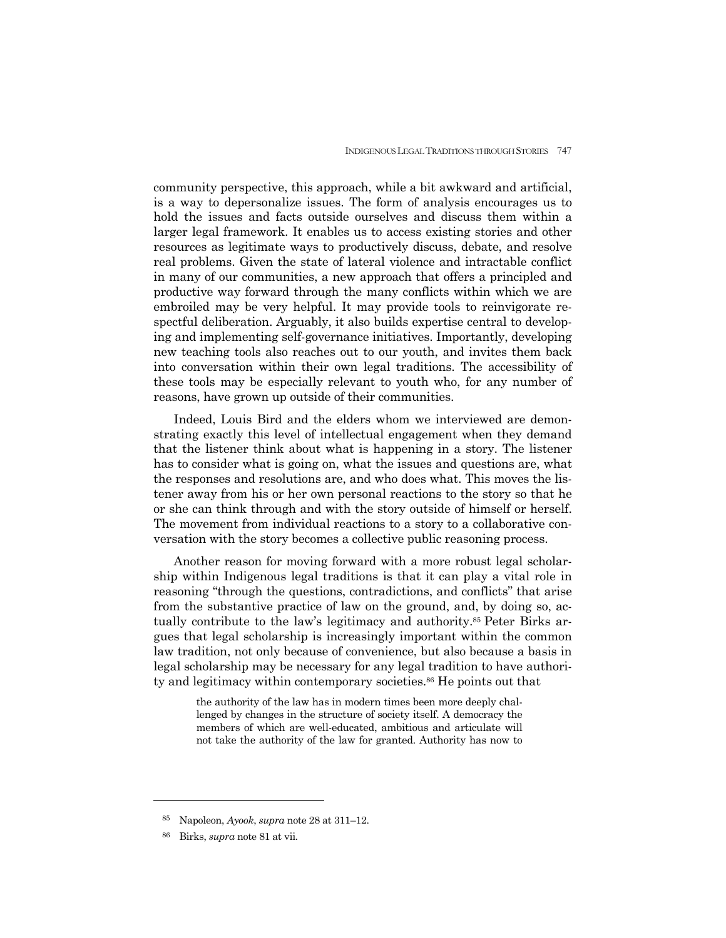community perspective, this approach, while a bit awkward and artificial, is a way to depersonalize issues. The form of analysis encourages us to hold the issues and facts outside ourselves and discuss them within a larger legal framework. It enables us to access existing stories and other resources as legitimate ways to productively discuss, debate, and resolve real problems. Given the state of lateral violence and intractable conflict in many of our communities, a new approach that offers a principled and productive way forward through the many conflicts within which we are embroiled may be very helpful. It may provide tools to reinvigorate respectful deliberation. Arguably, it also builds expertise central to developing and implementing self-governance initiatives. Importantly, developing new teaching tools also reaches out to our youth, and invites them back into conversation within their own legal traditions. The accessibility of these tools may be especially relevant to youth who, for any number of reasons, have grown up outside of their communities.

 Indeed, Louis Bird and the elders whom we interviewed are demonstrating exactly this level of intellectual engagement when they demand that the listener think about what is happening in a story. The listener has to consider what is going on, what the issues and questions are, what the responses and resolutions are, and who does what. This moves the listener away from his or her own personal reactions to the story so that he or she can think through and with the story outside of himself or herself. The movement from individual reactions to a story to a collaborative conversation with the story becomes a collective public reasoning process.

 Another reason for moving forward with a more robust legal scholarship within Indigenous legal traditions is that it can play a vital role in reasoning "through the questions, contradictions, and conflicts" that arise from the substantive practice of law on the ground, and, by doing so, actually contribute to the law's legitimacy and authority.85 Peter Birks argues that legal scholarship is increasingly important within the common law tradition, not only because of convenience, but also because a basis in legal scholarship may be necessary for any legal tradition to have authority and legitimacy within contemporary societies.86 He points out that

> the authority of the law has in modern times been more deeply challenged by changes in the structure of society itself. A democracy the members of which are well-educated, ambitious and articulate will not take the authority of the law for granted. Authority has now to

<sup>85</sup> Napoleon, *Ayook*, *supra* note 28 at 311–12.

<sup>86</sup> Birks, *supra* note 81 at vii.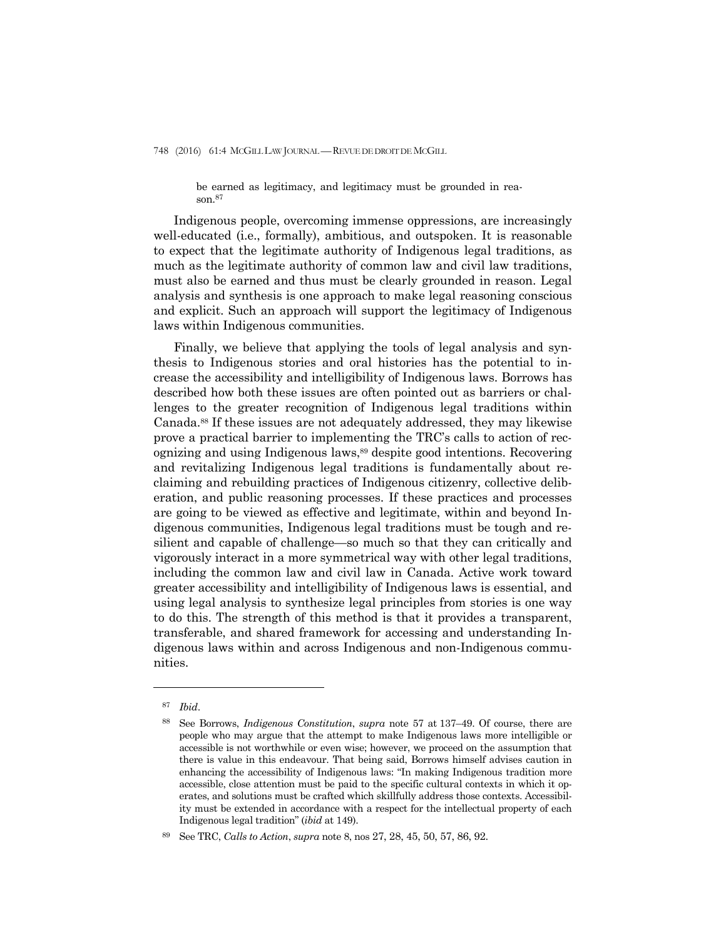be earned as legitimacy, and legitimacy must be grounded in reason.87

 Indigenous people, overcoming immense oppressions, are increasingly well-educated (i.e., formally), ambitious, and outspoken. It is reasonable to expect that the legitimate authority of Indigenous legal traditions, as much as the legitimate authority of common law and civil law traditions, must also be earned and thus must be clearly grounded in reason. Legal analysis and synthesis is one approach to make legal reasoning conscious and explicit. Such an approach will support the legitimacy of Indigenous laws within Indigenous communities.

 Finally, we believe that applying the tools of legal analysis and synthesis to Indigenous stories and oral histories has the potential to increase the accessibility and intelligibility of Indigenous laws. Borrows has described how both these issues are often pointed out as barriers or challenges to the greater recognition of Indigenous legal traditions within Canada.88 If these issues are not adequately addressed, they may likewise prove a practical barrier to implementing the TRC's calls to action of recognizing and using Indigenous laws,89 despite good intentions. Recovering and revitalizing Indigenous legal traditions is fundamentally about reclaiming and rebuilding practices of Indigenous citizenry, collective deliberation, and public reasoning processes. If these practices and processes are going to be viewed as effective and legitimate, within and beyond Indigenous communities, Indigenous legal traditions must be tough and resilient and capable of challenge—so much so that they can critically and vigorously interact in a more symmetrical way with other legal traditions, including the common law and civil law in Canada. Active work toward greater accessibility and intelligibility of Indigenous laws is essential, and using legal analysis to synthesize legal principles from stories is one way to do this. The strength of this method is that it provides a transparent, transferable, and shared framework for accessing and understanding Indigenous laws within and across Indigenous and non-Indigenous communities.

<sup>87</sup> *Ibid*.

<sup>88</sup> See Borrows, *Indigenous Constitution*, *supra* note 57 at 137–49. Of course, there are people who may argue that the attempt to make Indigenous laws more intelligible or accessible is not worthwhile or even wise; however, we proceed on the assumption that there is value in this endeavour. That being said, Borrows himself advises caution in enhancing the accessibility of Indigenous laws: "In making Indigenous tradition more accessible, close attention must be paid to the specific cultural contexts in which it operates, and solutions must be crafted which skillfully address those contexts. Accessibility must be extended in accordance with a respect for the intellectual property of each Indigenous legal tradition" (*ibid* at 149).

<sup>89</sup> See TRC, *Calls to Action*, *supra* note 8, nos 27, 28, 45, 50, 57, 86, 92.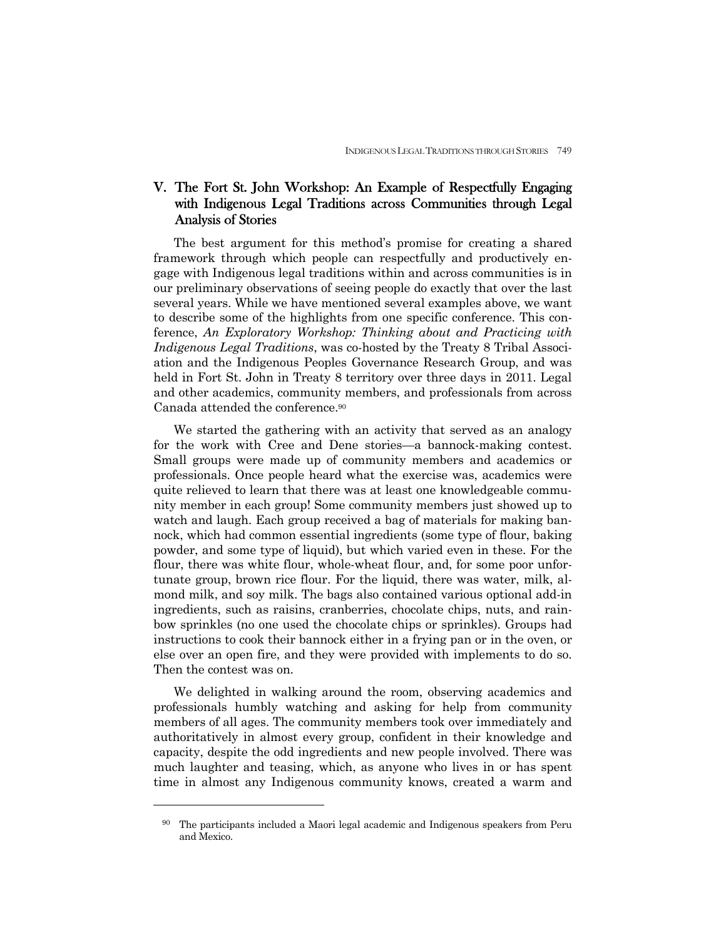# V. The Fort St. John Workshop: An Example of Respectfully Engaging with Indigenous Legal Traditions across Communities through Legal Analysis of Stories

 The best argument for this method's promise for creating a shared framework through which people can respectfully and productively engage with Indigenous legal traditions within and across communities is in our preliminary observations of seeing people do exactly that over the last several years. While we have mentioned several examples above, we want to describe some of the highlights from one specific conference. This conference, *An Exploratory Workshop: Thinking about and Practicing with Indigenous Legal Traditions*, was co-hosted by the Treaty 8 Tribal Association and the Indigenous Peoples Governance Research Group, and was held in Fort St. John in Treaty 8 territory over three days in 2011. Legal and other academics, community members, and professionals from across Canada attended the conference.90

We started the gathering with an activity that served as an analogy for the work with Cree and Dene stories—a bannock-making contest. Small groups were made up of community members and academics or professionals. Once people heard what the exercise was, academics were quite relieved to learn that there was at least one knowledgeable community member in each group! Some community members just showed up to watch and laugh. Each group received a bag of materials for making bannock, which had common essential ingredients (some type of flour, baking powder, and some type of liquid), but which varied even in these. For the flour, there was white flour, whole-wheat flour, and, for some poor unfortunate group, brown rice flour. For the liquid, there was water, milk, almond milk, and soy milk. The bags also contained various optional add-in ingredients, such as raisins, cranberries, chocolate chips, nuts, and rainbow sprinkles (no one used the chocolate chips or sprinkles). Groups had instructions to cook their bannock either in a frying pan or in the oven, or else over an open fire, and they were provided with implements to do so. Then the contest was on.

 We delighted in walking around the room, observing academics and professionals humbly watching and asking for help from community members of all ages. The community members took over immediately and authoritatively in almost every group, confident in their knowledge and capacity, despite the odd ingredients and new people involved. There was much laughter and teasing, which, as anyone who lives in or has spent time in almost any Indigenous community knows, created a warm and

<sup>90</sup> The participants included a Maori legal academic and Indigenous speakers from Peru and Mexico.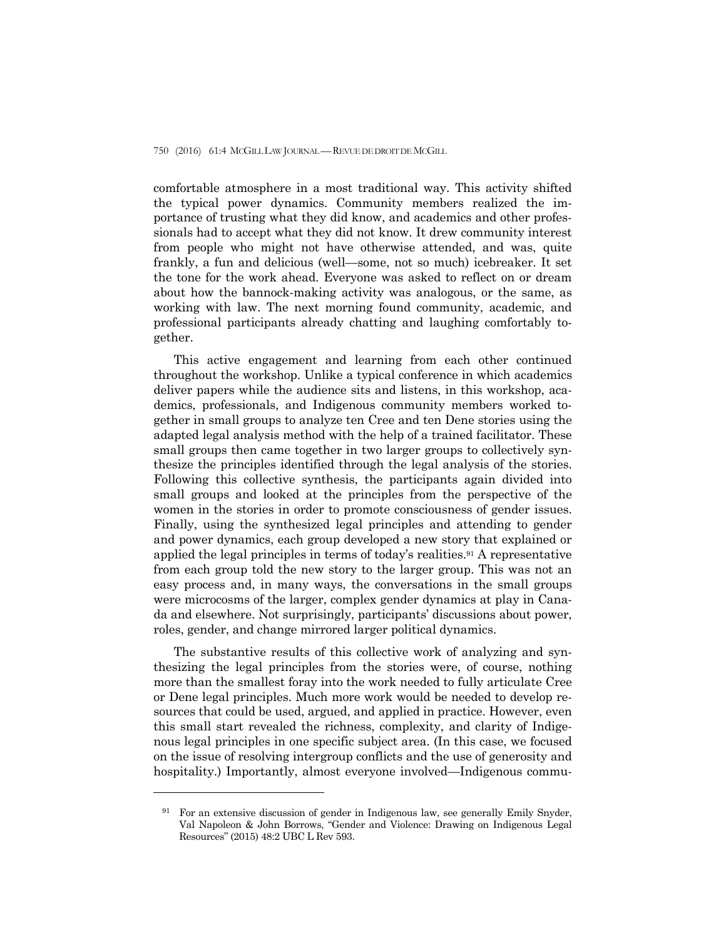comfortable atmosphere in a most traditional way. This activity shifted the typical power dynamics. Community members realized the importance of trusting what they did know, and academics and other professionals had to accept what they did not know. It drew community interest from people who might not have otherwise attended, and was, quite frankly, a fun and delicious (well—some, not so much) icebreaker. It set the tone for the work ahead. Everyone was asked to reflect on or dream about how the bannock-making activity was analogous, or the same, as working with law. The next morning found community, academic, and professional participants already chatting and laughing comfortably together.

 This active engagement and learning from each other continued throughout the workshop. Unlike a typical conference in which academics deliver papers while the audience sits and listens, in this workshop, academics, professionals, and Indigenous community members worked together in small groups to analyze ten Cree and ten Dene stories using the adapted legal analysis method with the help of a trained facilitator. These small groups then came together in two larger groups to collectively synthesize the principles identified through the legal analysis of the stories. Following this collective synthesis, the participants again divided into small groups and looked at the principles from the perspective of the women in the stories in order to promote consciousness of gender issues. Finally, using the synthesized legal principles and attending to gender and power dynamics, each group developed a new story that explained or applied the legal principles in terms of today's realities.91 A representative from each group told the new story to the larger group. This was not an easy process and, in many ways, the conversations in the small groups were microcosms of the larger, complex gender dynamics at play in Canada and elsewhere. Not surprisingly, participants' discussions about power, roles, gender, and change mirrored larger political dynamics.

 The substantive results of this collective work of analyzing and synthesizing the legal principles from the stories were, of course, nothing more than the smallest foray into the work needed to fully articulate Cree or Dene legal principles. Much more work would be needed to develop resources that could be used, argued, and applied in practice. However, even this small start revealed the richness, complexity, and clarity of Indigenous legal principles in one specific subject area. (In this case, we focused on the issue of resolving intergroup conflicts and the use of generosity and hospitality.) Importantly, almost everyone involved—Indigenous commu-

<sup>91</sup> For an extensive discussion of gender in Indigenous law, see generally Emily Snyder, Val Napoleon & John Borrows, "Gender and Violence: Drawing on Indigenous Legal Resources" (2015) 48:2 UBC L Rev 593.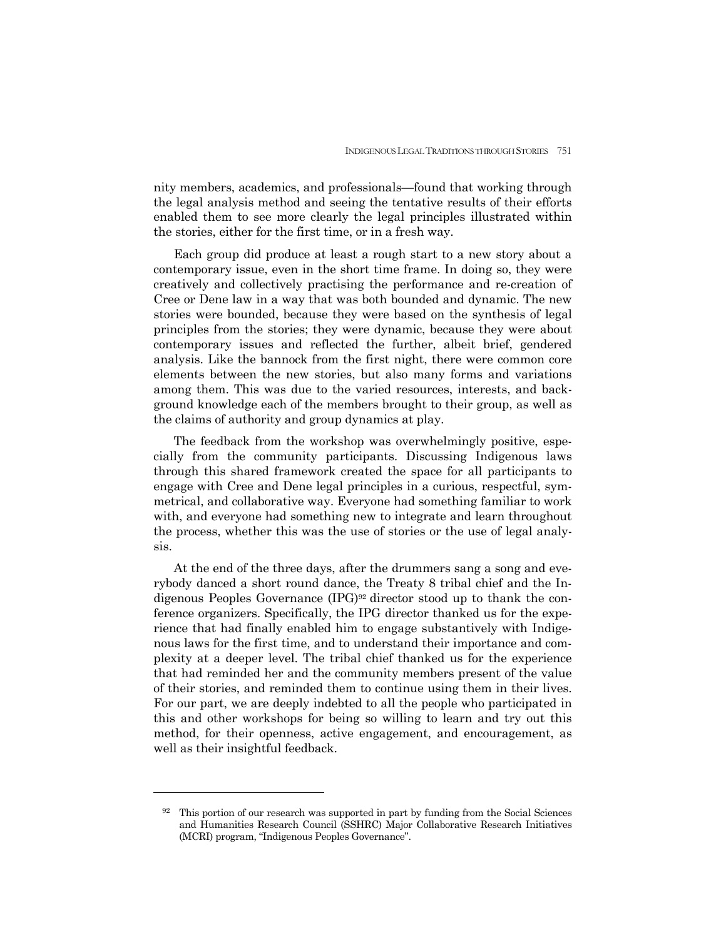nity members, academics, and professionals—found that working through the legal analysis method and seeing the tentative results of their efforts enabled them to see more clearly the legal principles illustrated within the stories, either for the first time, or in a fresh way.

 Each group did produce at least a rough start to a new story about a contemporary issue, even in the short time frame. In doing so, they were creatively and collectively practising the performance and re-creation of Cree or Dene law in a way that was both bounded and dynamic. The new stories were bounded, because they were based on the synthesis of legal principles from the stories; they were dynamic, because they were about contemporary issues and reflected the further, albeit brief, gendered analysis. Like the bannock from the first night, there were common core elements between the new stories, but also many forms and variations among them. This was due to the varied resources, interests, and background knowledge each of the members brought to their group, as well as the claims of authority and group dynamics at play.

 The feedback from the workshop was overwhelmingly positive, especially from the community participants. Discussing Indigenous laws through this shared framework created the space for all participants to engage with Cree and Dene legal principles in a curious, respectful, symmetrical, and collaborative way. Everyone had something familiar to work with, and everyone had something new to integrate and learn throughout the process, whether this was the use of stories or the use of legal analysis.

 At the end of the three days, after the drummers sang a song and everybody danced a short round dance, the Treaty 8 tribal chief and the Indigenous Peoples Governance  $(IPG)^{92}$  director stood up to thank the conference organizers. Specifically, the IPG director thanked us for the experience that had finally enabled him to engage substantively with Indigenous laws for the first time, and to understand their importance and complexity at a deeper level. The tribal chief thanked us for the experience that had reminded her and the community members present of the value of their stories, and reminded them to continue using them in their lives. For our part, we are deeply indebted to all the people who participated in this and other workshops for being so willing to learn and try out this method, for their openness, active engagement, and encouragement, as well as their insightful feedback.

 $92$  This portion of our research was supported in part by funding from the Social Sciences and Humanities Research Council (SSHRC) Major Collaborative Research Initiatives (MCRI) program, "Indigenous Peoples Governance".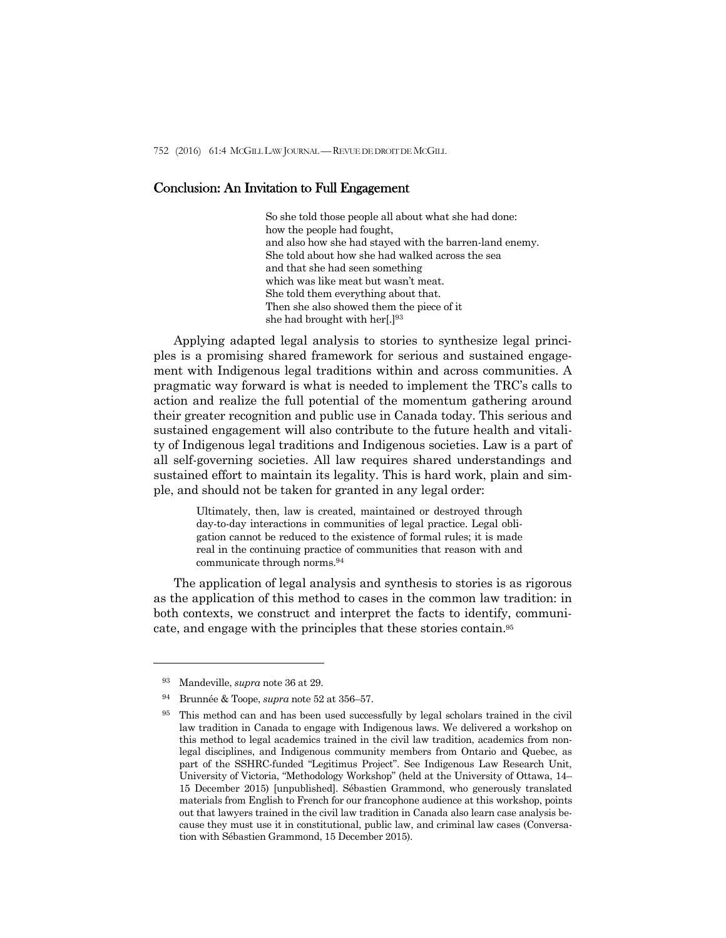## Conclusion: An Invitation to Full Engagement

So she told those people all about what she had done: how the people had fought, and also how she had stayed with the barren-land enemy. She told about how she had walked across the sea and that she had seen something which was like meat but wasn't meat. She told them everything about that. Then she also showed them the piece of it she had brought with her[.]93

 Applying adapted legal analysis to stories to synthesize legal principles is a promising shared framework for serious and sustained engagement with Indigenous legal traditions within and across communities. A pragmatic way forward is what is needed to implement the TRC's calls to action and realize the full potential of the momentum gathering around their greater recognition and public use in Canada today. This serious and sustained engagement will also contribute to the future health and vitality of Indigenous legal traditions and Indigenous societies. Law is a part of all self-governing societies. All law requires shared understandings and sustained effort to maintain its legality. This is hard work, plain and simple, and should not be taken for granted in any legal order:

> Ultimately, then, law is created, maintained or destroyed through day-to-day interactions in communities of legal practice. Legal obligation cannot be reduced to the existence of formal rules; it is made real in the continuing practice of communities that reason with and communicate through norms.94

 The application of legal analysis and synthesis to stories is as rigorous as the application of this method to cases in the common law tradition: in both contexts, we construct and interpret the facts to identify, communicate, and engage with the principles that these stories contain.95

<sup>93</sup> Mandeville, *supra* note 36 at 29.

<sup>94</sup> Brunnée & Toope, *supra* note 52 at 356–57.

<sup>95</sup> This method can and has been used successfully by legal scholars trained in the civil law tradition in Canada to engage with Indigenous laws. We delivered a workshop on this method to legal academics trained in the civil law tradition, academics from nonlegal disciplines, and Indigenous community members from Ontario and Quebec, as part of the SSHRC-funded "Legitimus Project". See Indigenous Law Research Unit, University of Victoria, "Methodology Workshop" (held at the University of Ottawa, 14– 15 December 2015) [unpublished]. Sébastien Grammond, who generously translated materials from English to French for our francophone audience at this workshop, points out that lawyers trained in the civil law tradition in Canada also learn case analysis because they must use it in constitutional, public law, and criminal law cases (Conversation with Sébastien Grammond, 15 December 2015).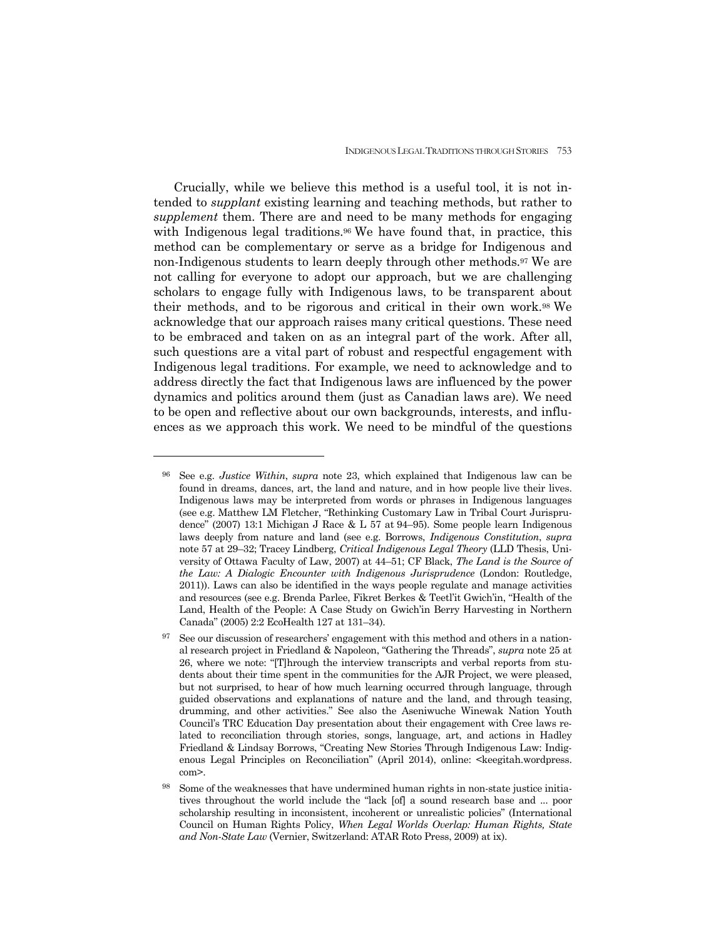Crucially, while we believe this method is a useful tool, it is not intended to *supplant* existing learning and teaching methods, but rather to *supplement* them. There are and need to be many methods for engaging with Indigenous legal traditions.<sup>96</sup> We have found that, in practice, this method can be complementary or serve as a bridge for Indigenous and non-Indigenous students to learn deeply through other methods.97 We are not calling for everyone to adopt our approach, but we are challenging scholars to engage fully with Indigenous laws, to be transparent about their methods, and to be rigorous and critical in their own work.98 We acknowledge that our approach raises many critical questions. These need to be embraced and taken on as an integral part of the work. After all, such questions are a vital part of robust and respectful engagement with Indigenous legal traditions. For example, we need to acknowledge and to address directly the fact that Indigenous laws are influenced by the power dynamics and politics around them (just as Canadian laws are). We need to be open and reflective about our own backgrounds, interests, and influences as we approach this work. We need to be mindful of the questions

<sup>96</sup> See e.g. *Justice Within*, *supra* note 23, which explained that Indigenous law can be found in dreams, dances, art, the land and nature, and in how people live their lives. Indigenous laws may be interpreted from words or phrases in Indigenous languages (see e.g. Matthew LM Fletcher, "Rethinking Customary Law in Tribal Court Jurisprudence" (2007) 13:1 Michigan J Race & L 57 at 94–95). Some people learn Indigenous laws deeply from nature and land (see e.g. Borrows, *Indigenous Constitution*, *supra* note 57 at 29–32; Tracey Lindberg, *Critical Indigenous Legal Theory* (LLD Thesis, University of Ottawa Faculty of Law, 2007) at 44–51; CF Black, *The Land is the Source of the Law: A Dialogic Encounter with Indigenous Jurisprudence* (London: Routledge, 2011)). Laws can also be identified in the ways people regulate and manage activities and resources (see e.g. Brenda Parlee, Fikret Berkes & Teetl'it Gwich'in, "Health of the Land, Health of the People: A Case Study on Gwich'in Berry Harvesting in Northern Canada" (2005) 2:2 EcoHealth 127 at 131–34).

<sup>&</sup>lt;sup>97</sup> See our discussion of researchers' engagement with this method and others in a national research project in Friedland & Napoleon, "Gathering the Threads", *supra* note 25 at 26, where we note: "[T]hrough the interview transcripts and verbal reports from students about their time spent in the communities for the AJR Project, we were pleased, but not surprised, to hear of how much learning occurred through language, through guided observations and explanations of nature and the land, and through teasing, drumming, and other activities." See also the Aseniwuche Winewak Nation Youth Council's TRC Education Day presentation about their engagement with Cree laws related to reconciliation through stories, songs, language, art, and actions in Hadley Friedland & Lindsay Borrows, "Creating New Stories Through Indigenous Law: Indigenous Legal Principles on Reconciliation" (April 2014), online: <keegitah.wordpress. com>.

Some of the weaknesses that have undermined human rights in non-state justice initiatives throughout the world include the "lack [of] a sound research base and ... poor scholarship resulting in inconsistent, incoherent or unrealistic policies" (International Council on Human Rights Policy, *When Legal Worlds Overlap: Human Rights, State and Non-State Law* (Vernier, Switzerland: ATAR Roto Press, 2009) at ix).